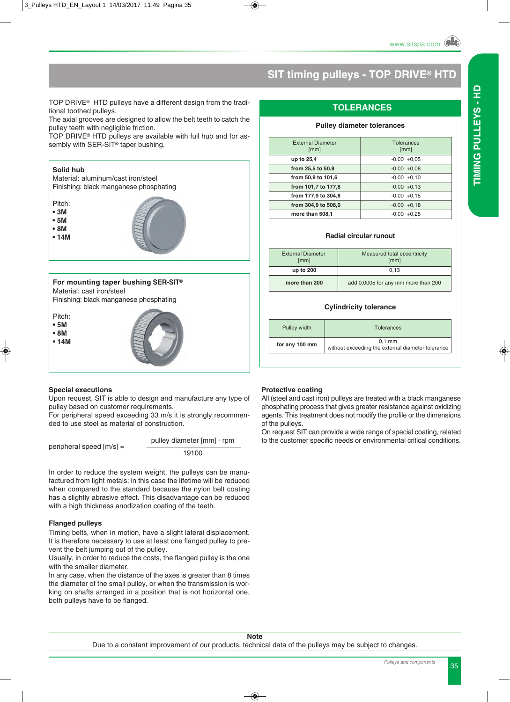### **SIT timing pulleys - TOP DRIVE® HTD**

TOP DRIVE® HTD pulleys have a different design from the traditional toothed pulleys.

The axial grooves are designed to allow the belt teeth to catch the pulley teeth with negligible friction.

TOP DRIVE® HTD pulleys are available with full hub and for assembly with SER-SIT<sup>®</sup> taper bushing.

#### **Solid hub**

Material: aluminum/cast iron/steel Finishing: black manganese phosphating

- Pitch:
- **3M**
- **5M**
- **8M**
- **14M**



#### **For mounting taper bushing SER-SIT®** Material: cast iron/steel

Finishing: black manganese phosphating

Pitch:

- **5M**
- **8M**
- **14M**





#### **Special executions**

Upon request, SIT is able to design and manufacture any type of pulley based on customer requirements.

For peripheral speed exceeding 33 m/s it is strongly recommended to use steel as material of construction.

| peripheral speed $[m/s] =$ | pulley diameter $\lceil mm \rceil \cdot r$ pm |
|----------------------------|-----------------------------------------------|
|                            | 19100                                         |

In order to reduce the system weight, the pulleys can be manufactured from light metals; in this case the lifetime will be reduced when compared to the standard because the nylon belt coating has a slightly abrasive effect. This disadvantage can be reduced with a high thickness anodization coating of the teeth.

#### **Flanged pulleys**

Timing belts, when in motion, have a slight lateral displacement. It is therefore necessary to use at least one flanged pulley to prevent the belt jumping out of the pulley.

Usually, in order to reduce the costs, the flanged pulley is the one with the smaller diameter.

In any case, when the distance of the axes is greater than 8 times the diameter of the small pulley, or when the transmission is working on shafts arranged in a position that is not horizontal one, both pulleys have to be flanged.

#### **Protective coating**

All (steel and cast iron) pulleys are treated with a black manganese phosphating process that gives greater resistance against oxidizing agents. This treatment does not modify the profile or the dimensions of the pulleys.

On request SIT can provide a wide range of special coating, related to the customer specific needs or environmental critical conditions.

#### **TOLERANCES**

#### **Pulley diameter tolerances**

| <b>Tolerances</b><br>[mm] |
|---------------------------|
| $-0.00 + 0.05$            |
| $-0.00 + 0.08$            |
| $-0.00 + 0.10$            |
| $-0.00 + 0.13$            |
| $-0.00 + 0.15$            |
| $-0.00 + 0.18$            |
| $+0.25$<br>-0.00          |
|                           |

#### **Radial circular runout**

| <b>External Diameter</b><br>[mm] | Measured total eccentricity<br>[mm] |
|----------------------------------|-------------------------------------|
| up to 200                        | 0.13                                |
| more than 200                    | add 0,0005 for any mm more than 200 |

#### **Cylindricity tolerance**

| Pulley width   | <b>Tolerances</b>                                             |
|----------------|---------------------------------------------------------------|
| for any 100 mm | $0.1$ mm<br>without exceeding the external diameter tolerance |

 $\overline{a}$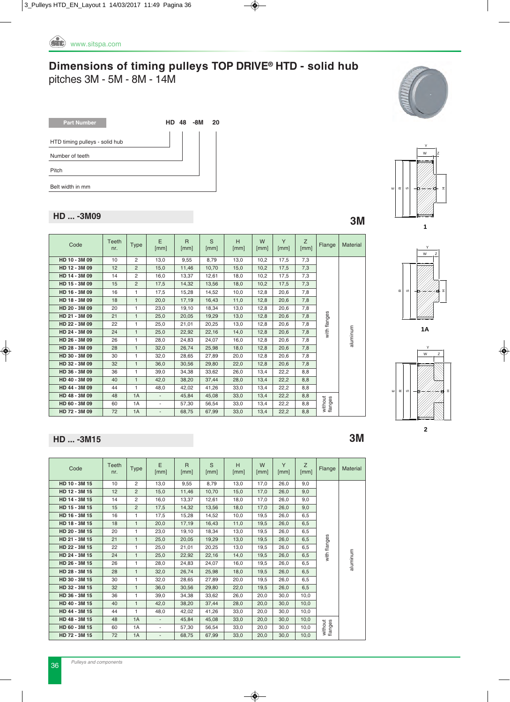*Pulleys and components* 36

#### **Dimensions of timing pulleys TOP DRIVE® HTD - solid hub** pitches 3M - 5M - 8M - 14M

| <b>Part Number</b>             | HD 48 | -8M | 20 |
|--------------------------------|-------|-----|----|
| HTD timing pulleys - solid hub |       |     |    |
| Number of teeth                |       |     |    |
| Pitch                          |       |     |    |
| Belt width in mm               |       |     |    |

### **HD ... -3M09 3M**

| Code          | Teeth<br>nr. | <b>Type</b>    | E<br>[mm]                | $\mathsf{R}$<br>[mm] | S<br>[mm] | H<br>[mm] | W<br>[mm] | Y<br>[mm] | Z<br>[mm] | Flange             | Material |
|---------------|--------------|----------------|--------------------------|----------------------|-----------|-----------|-----------|-----------|-----------|--------------------|----------|
| HD 10 - 3M 09 | 10           | $\overline{2}$ | 13.0                     | 9,55                 | 8.79      | 13.0      | 10,2      | 17,5      | 7,3       |                    |          |
| HD 12 - 3M 09 | 12           | $\overline{2}$ | 15,0                     | 11,46                | 10,70     | 15,0      | 10,2      | 17,5      | 7,3       |                    |          |
| HD 14 - 3M 09 | 14           | $\overline{2}$ | 16.0                     | 13.37                | 12.61     | 18.0      | 10.2      | 17,5      | 7,3       |                    |          |
| HD 15 - 3M 09 | 15           | $\overline{2}$ | 17,5                     | 14,32                | 13,56     | 18,0      | 10,2      | 17,5      | 7,3       |                    |          |
| HD 16 - 3M 09 | 16           | 1.             | 17,5                     | 15,28                | 14,52     | 10,0      | 12,8      | 20,6      | 7,8       |                    |          |
| HD 18 - 3M 09 | 18           | $\mathbf{1}$   | 20,0                     | 17,19                | 16,43     | 11,0      | 12,8      | 20,6      | 7,8       |                    |          |
| HD 20 - 3M 09 | 20           | 1              | 23,0                     | 19,10                | 18,34     | 13,0      | 12,8      | 20,6      | 7,8       |                    |          |
| HD 21 - 3M 09 | 21           | $\mathbf{1}$   | 25,0                     | 20,05                | 19,29     | 13,0      | 12,8      | 20,6      | 7,8       | with flanges       |          |
| HD 22 - 3M 09 | 22           | 1              | 25,0                     | 21,01                | 20,25     | 13,0      | 12,8      | 20,6      | 7,8       |                    |          |
| HD 24 - 3M 09 | 24           | $\mathbf{1}$   | 25,0                     | 22,92                | 22,16     | 14,0      | 12,8      | 20,6      | 7,8       |                    |          |
| HD 26 - 3M 09 | 26           | 1              | 28.0                     | 24.83                | 24.07     | 16.0      | 12,8      | 20.6      | 7,8       |                    | aluminum |
| HD 28 - 3M 09 | 28           | $\mathbf{1}$   | 32.0                     | 26,74                | 25,98     | 18,0      | 12,8      | 20,6      | 7,8       |                    |          |
| HD 30 - 3M 09 | 30           | 1              | 32.0                     | 28,65                | 27,89     | 20,0      | 12,8      | 20,6      | 7,8       |                    |          |
| HD 32 - 3M 09 | 32           | $\mathbf{1}$   | 36,0                     | 30,56                | 29,80     | 22,0      | 12,8      | 20,6      | 7,8       |                    |          |
| HD 36 - 3M 09 | 36           | 1              | 39.0                     | 34,38                | 33,62     | 26,0      | 13,4      | 22,2      | 8,8       |                    |          |
| HD 40 - 3M 09 | 40           | $\mathbf{1}$   | 42.0                     | 38,20                | 37.44     | 28.0      | 13,4      | 22,2      | 8.8       |                    |          |
| HD 44 - 3M 09 | 44           | 1              | 48,0                     | 42,02                | 41,26     | 33,0      | 13,4      | 22,2      | 8,8       |                    |          |
| HD 48 - 3M 09 | 48           | 1A             | $\overline{\phantom{a}}$ | 45,84                | 45,08     | 33,0      | 13,4      | 22,2      | 8.8       |                    |          |
| HD 60 - 3M 09 | 60           | 1A             | $\overline{\phantom{0}}$ | 57,30                | 56,54     | 33,0      | 13,4      | 22,2      | 8,8       | without<br>flanges |          |
| HD 72 - 3M 09 | 72           | 1A             | $\overline{\phantom{a}}$ | 68,75                | 67,99     | 33,0      | 13,4      | 22,2      | 8,8       |                    |          |
|               |              |                |                          |                      |           |           |           |           |           |                    |          |

#### **HD ... -3M15 3M**

| Code          | Teeth<br>nr. | Type           | E<br>[mm]                | $\mathsf{R}$<br>[mm] | $\mathcal{S}$<br>[mm] | H<br>[mm] | W<br>[mm] | Y<br>[mm] | Z<br>[mm] | Flange             | <b>Material</b> |
|---------------|--------------|----------------|--------------------------|----------------------|-----------------------|-----------|-----------|-----------|-----------|--------------------|-----------------|
| HD 10 - 3M 15 | 10           | $\overline{2}$ | 13,0                     | 9,55                 | 8,79                  | 13,0      | 17,0      | 26,0      | 9,0       |                    |                 |
| HD 12 - 3M 15 | 12           | $\overline{2}$ | 15,0                     | 11,46                | 10,70                 | 15,0      | 17,0      | 26,0      | 9,0       |                    |                 |
| HD 14 - 3M 15 | 14           | 2              | 16.0                     | 13,37                | 12.61                 | 18,0      | 17,0      | 26.0      | 9,0       |                    |                 |
| HD 15 - 3M 15 | 15           | $\overline{2}$ | 17,5                     | 14,32                | 13,56                 | 18,0      | 17,0      | 26,0      | 9,0       |                    |                 |
| HD 16 - 3M 15 | 16           | 1              | 17.5                     | 15,28                | 14,52                 | 10,0      | 19,5      | 26.0      | 6,5       |                    |                 |
| HD 18 - 3M 15 | 18           | $\mathbf{1}$   | 20.0                     | 17,19                | 16.43                 | 11,0      | 19.5      | 26.0      | 6.5       |                    |                 |
| HD 20 - 3M 15 | 20           | $\mathbf{1}$   | 23.0                     | 19,10                | 18,34                 | 13,0      | 19.5      | 26.0      | 6,5       |                    |                 |
| HD 21 - 3M 15 | 21           | $\mathbf{1}$   | 25,0                     | 20,05                | 19,29                 | 13,0      | 19,5      | 26.0      | 6,5       | with flanges       |                 |
| HD 22 - 3M 15 | 22           | 1              | 25,0                     | 21,01                | 20,25                 | 13,0      | 19.5      | 26.0      | 6,5       |                    |                 |
| HD 24 - 3M 15 | 24           | $\mathbf{1}$   | 25.0                     | 22,92                | 22,16                 | 14,0      | 19,5      | 26.0      | 6,5       |                    |                 |
| HD 26 - 3M 15 | 26           | 1              | 28.0                     | 24.83                | 24.07                 | 16.0      | 19.5      | 26.0      | 6.5       |                    | aluminum        |
| HD 28 - 3M 15 | 28           | $\mathbf{1}$   | 32,0                     | 26,74                | 25,98                 | 18,0      | 19,5      | 26,0      | 6,5       |                    |                 |
| HD 30 - 3M 15 | 30           | 1              | 32,0                     | 28,65                | 27,89                 | 20,0      | 19,5      | 26,0      | 6,5       |                    |                 |
| HD 32 - 3M 15 | 32           | $\mathbf{1}$   | 36.0                     | 30,56                | 29,80                 | 22,0      | 19,5      | 26.0      | 6,5       |                    |                 |
| HD 36 - 3M 15 | 36           | $\mathbf{1}$   | 39,0                     | 34,38                | 33,62                 | 26,0      | 20,0      | 30.0      | 10,0      |                    |                 |
| HD 40 - 3M 15 | 40           | $\mathbf{1}$   | 42,0                     | 38,20                | 37,44                 | 28,0      | 20,0      | 30.0      | 10,0      |                    |                 |
| HD 44 - 3M 15 | 44           | 1              | 48.0                     | 42.02                | 41.26                 | 33,0      | 20.0      | 30.0      | 10,0      |                    |                 |
| HD 48 - 3M 15 | 48           | 1A             | $\blacksquare$           | 45,84                | 45,08                 | 33,0      | 20,0      | 30.0      | 10.0      |                    |                 |
| HD 60 - 3M 15 | 60           | 1A             | $\overline{\phantom{a}}$ | 57,30                | 56,54                 | 33,0      | 20,0      | 30,0      | 10,0      | without<br>flanges |                 |
| HD 72 - 3M 15 | 72           | 1A             | $\overline{\phantom{a}}$ | 68,75                | 67,99                 | 33,0      | 20,0      | 30,0      | 10,0      |                    |                 |











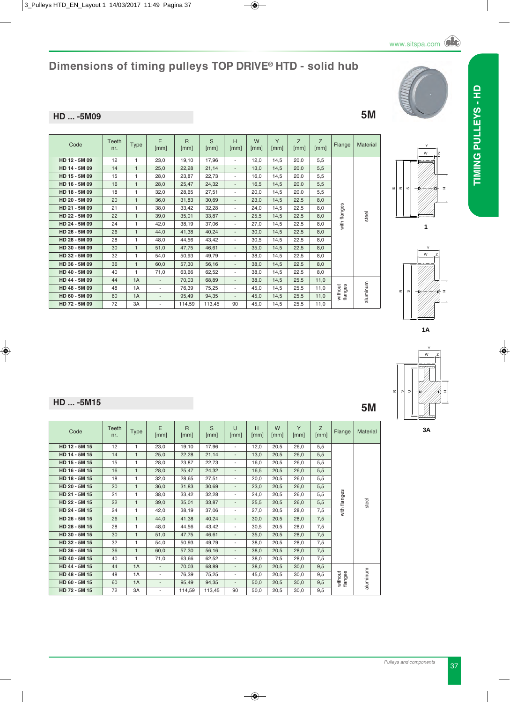#### **HD ... -5M09 5M**

| Code          | Teeth<br>nr. | <b>Type</b>  | E<br>[mm]                | $\overline{R}$<br>[mm] | S<br>[mm] | H<br>[mm]                | W<br>[mm] | Y<br>[mm] | Z<br>[mm] | Z<br>[mm] | Flange             | Mater    |
|---------------|--------------|--------------|--------------------------|------------------------|-----------|--------------------------|-----------|-----------|-----------|-----------|--------------------|----------|
| HD 12 - 5M 09 | 12           | 1            | 23.0                     | 19.10                  | 17,96     | ٠                        | 12.0      | 14.5      | 20.0      | 5.5       |                    |          |
| HD 14 - 5M 09 | 14           | 1            | 25,0                     | 22,28                  | 21,14     | $\overline{\phantom{a}}$ | 13,0      | 14,5      | 20,0      | 5,5       |                    |          |
| HD 15 - 5M 09 | 15           | 1            | 28,0                     | 23,87                  | 22,73     | ٠                        | 16,0      | 14,5      | 20,0      | 5,5       |                    |          |
| HD 16 - 5M 09 | 16           | 1            | 28.0                     | 25.47                  | 24,32     | $\overline{\phantom{a}}$ | 16.5      | 14.5      | 20.0      | 5.5       |                    |          |
| HD 18 - 5M 09 | 18           | 1            | 32,0                     | 28,65                  | 27,51     | ٠                        | 20.0      | 14.5      | 20.0      | 5.5       |                    |          |
| HD 20 - 5M 09 | 20           | 1            | 36,0                     | 31,83                  | 30,69     | $\overline{\phantom{a}}$ | 23,0      | 14,5      | 22,5      | 8,0       |                    |          |
| HD 21 - 5M 09 | 21           | 1            | 38,0                     | 33,42                  | 32,28     | ٠                        | 24,0      | 14,5      | 22,5      | 8,0       |                    |          |
| HD 22 - 5M 09 | 22           | $\mathbf{1}$ | 39.0                     | 35,01                  | 33,87     | $\overline{\phantom{a}}$ | 25,5      | 14.5      | 22,5      | 8.0       | with flanges       | steel    |
| HD 24 - 5M 09 | 24           | 1            | 42.0                     | 38,19                  | 37,06     | ٠                        | 27,0      | 14,5      | 22,5      | 8,0       |                    |          |
| HD 26 - 5M 09 | 26           | $\mathbf{1}$ | 44.0                     | 41,38                  | 40,24     | $\overline{\phantom{a}}$ | 30.0      | 14,5      | 22,5      | 8,0       |                    |          |
| HD 28 - 5M 09 | 28           | 1            | 48.0                     | 44.56                  | 43,42     | ٠                        | 30.5      | 14.5      | 22,5      | 8.0       |                    |          |
| HD 30 - 5M 09 | 30           | 1            | 51.0                     | 47,75                  | 46.61     | $\overline{\phantom{a}}$ | 35.0      | 14.5      | 22.5      | 8.0       |                    |          |
| HD 32 - 5M 09 | 32           | 1            | 54,0                     | 50,93                  | 49,79     | ٠                        | 38,0      | 14,5      | 22,5      | 8,0       |                    |          |
| HD 36 - 5M 09 | 36           | $\mathbf{1}$ | 60,0                     | 57,30                  | 56,16     | $\overline{\phantom{a}}$ | 38,0      | 14,5      | 22,5      | 8,0       |                    |          |
| HD 40 - 5M 09 | 40           | 1            | 71,0                     | 63.66                  | 62,52     | ٠                        | 38.0      | 14.5      | 22.5      | 8.0       |                    |          |
| HD 44 - 5M 09 | 44           | 1A           | $\overline{\phantom{a}}$ | 70,03                  | 68,89     | $\overline{\phantom{a}}$ | 38.0      | 14.5      | 25,5      | 11.0      |                    |          |
| HD 48 - 5M 09 | 48           | 1A           | $\overline{\phantom{a}}$ | 76,39                  | 75,25     | ٠                        | 45,0      | 14,5      | 25,5      | 11.0      | without<br>flanges | aluminum |
| HD 60 - 5M 09 | 60           | 1A           | $\overline{\phantom{a}}$ | 95,49                  | 94,35     | $\overline{\phantom{a}}$ | 45.0      | 14.5      | 25,5      | 11.0      |                    |          |
| HD 72 - 5M 09 | 72           | 3A           | $\overline{\phantom{a}}$ | 114,59                 | 113.45    | 90                       | 45.0      | 14.5      | 25,5      | 11.0      |                    |          |



H





#### **HD ... -5M15 5M**

| Code          | Teeth<br>nr. | <b>Type</b>  | E<br>[mm]                | $\overline{R}$<br>[mm] | S<br>[mm] | $\cup$<br>[mm]           | H<br>[mm] | W<br>[mm] | Y<br>[mm] | Z<br>[mm] | Flange             | <b>Material</b> |
|---------------|--------------|--------------|--------------------------|------------------------|-----------|--------------------------|-----------|-----------|-----------|-----------|--------------------|-----------------|
| HD 12 - 5M 15 | 12           | $\mathbf{1}$ | 23,0                     | 19,10                  | 17,96     | $\overline{\phantom{a}}$ | 12,0      | 20,5      | 26,0      | 5,5       |                    |                 |
| HD 14 - 5M 15 | 14           | $\mathbf{1}$ | 25,0                     | 22,28                  | 21,14     | $\overline{\phantom{a}}$ | 13,0      | 20,5      | 26,0      | 5,5       |                    |                 |
| HD 15 - 5M 15 | 15           | 1            | 28,0                     | 23,87                  | 22,73     | ٠                        | 16,0      | 20,5      | 26,0      | 5,5       |                    |                 |
| HD 16 - 5M 15 | 16           | $\mathbf{1}$ | 28,0                     | 25,47                  | 24,32     | $\overline{\phantom{a}}$ | 16,5      | 20,5      | 26,0      | 5,5       |                    |                 |
| HD 18 - 5M 15 | 18           | 1            | 32,0                     | 28,65                  | 27,51     | $\overline{\phantom{a}}$ | 20,0      | 20,5      | 26,0      | 5,5       |                    |                 |
| HD 20 - 5M 15 | 20           | $\mathbf{1}$ | 36,0                     | 31,83                  | 30,69     | $\overline{\phantom{a}}$ | 23,0      | 20,5      | 26,0      | 5,5       | S                  |                 |
| HD 21 - 5M 15 | 21           | 1            | 38,0                     | 33,42                  | 32,28     | $\overline{\phantom{a}}$ | 24,0      | 20,5      | 26,0      | 5,5       |                    |                 |
| HD 22 - 5M 15 | 22           | $\mathbf{1}$ | 39,0                     | 35,01                  | 33,87     | $\overline{\phantom{a}}$ | 25,5      | 20,5      | 26,0      | 5,5       | with flange        | steel           |
| HD 24 - 5M 15 | 24           | 1            | 42,0                     | 38,19                  | 37,06     | $\overline{\phantom{a}}$ | 27,0      | 20,5      | 28,0      | 7,5       |                    |                 |
| HD 26 - 5M 15 | 26           | $\mathbf{1}$ | 44.0                     | 41,38                  | 40,24     | $\overline{\phantom{a}}$ | 30,0      | 20,5      | 28,0      | 7,5       |                    |                 |
| HD 28 - 5M 15 | 28           | $\mathbf{1}$ | 48,0                     | 44,56                  | 43,42     | $\overline{\phantom{a}}$ | 30,5      | 20,5      | 28,0      | 7,5       |                    |                 |
| HD 30 - 5M 15 | 30           | $\mathbf{1}$ | 51,0                     | 47,75                  | 46,61     | $\overline{\phantom{a}}$ | 35,0      | 20,5      | 28,0      | 7,5       |                    |                 |
| HD 32 - 5M 15 | 32           | 1            | 54,0                     | 50,93                  | 49,79     | $\overline{\phantom{a}}$ | 38,0      | 20,5      | 28,0      | 7,5       |                    |                 |
| HD 36 - 5M 15 | 36           | $\mathbf{1}$ | 60,0                     | 57,30                  | 56,16     | $\overline{\phantom{a}}$ | 38,0      | 20,5      | 28,0      | 7,5       |                    |                 |
| HD 40 - 5M 15 | 40           | 1            | 71,0                     | 63,66                  | 62,52     | $\overline{\phantom{a}}$ | 38,0      | 20,5      | 28,0      | 7,5       |                    |                 |
| HD 44 - 5M 15 | 44           | 1A           | $\overline{\phantom{a}}$ | 70,03                  | 68,89     | $\overline{\phantom{a}}$ | 38,0      | 20,5      | 30,0      | 9,5       |                    |                 |
| HD 48 - 5M 15 | 48           | 1A           | $\overline{\phantom{a}}$ | 76,39                  | 75,25     | $\overline{\phantom{a}}$ | 45,0      | 20,5      | 30,0      | 9,5       |                    |                 |
| HD 60 - 5M 15 | 60           | 1A           | $\overline{\phantom{a}}$ | 95.49                  | 94,35     | $\overline{\phantom{a}}$ | 50.0      | 20,5      | 30.0      | 9,5       | without<br>flanges | aluminum        |
| HD 72 - 5M 15 | 72           | 3A           | ٠                        | 114,59                 | 113,45    | 90                       | 50,0      | 20,5      | 30,0      | 9,5       |                    |                 |

www.sitspa.com

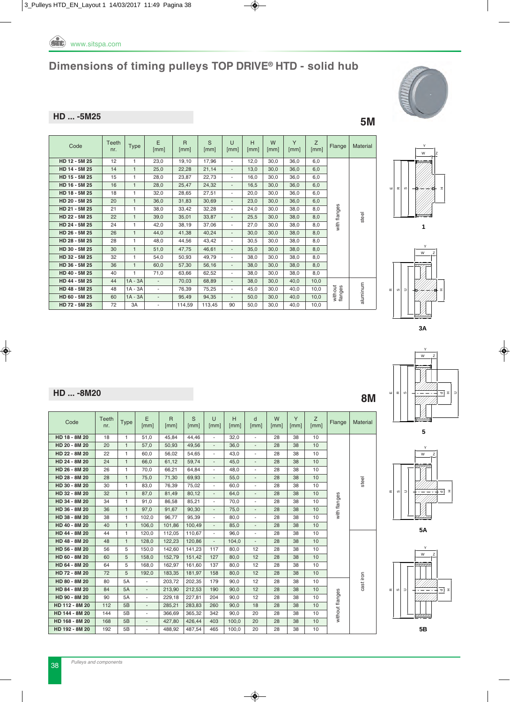

#### **HD ... -5M25 5M**

| Code          | Teeth<br>nr. | <b>Type</b>  | E<br>[mm]                | $\overline{R}$<br>$\lceil mm \rceil$ | S<br>[mm] | $\cup$<br>[mm]           | Н<br>[mm] | W<br>[mm] | Y<br>[mm] | Z<br>[mm] | Flange             | Materia  |
|---------------|--------------|--------------|--------------------------|--------------------------------------|-----------|--------------------------|-----------|-----------|-----------|-----------|--------------------|----------|
| HD 12 - 5M 25 | 12           | 1            | 23,0                     | 19,10                                | 17,96     | $\overline{\phantom{a}}$ | 12,0      | 30,0      | 36,0      | 6,0       |                    |          |
| HD 14 - 5M 25 | 14           | 1            | 25,0                     | 22,28                                | 21,14     | $\overline{\phantom{a}}$ | 13,0      | 30,0      | 36,0      | 6,0       |                    |          |
| HD 15 - 5M 25 | 15           | 1.           | 28,0                     | 23.87                                | 22,73     | $\overline{\phantom{a}}$ | 16,0      | 30,0      | 36,0      | 6,0       |                    |          |
| HD 16 - 5M 25 | 16           | 1            | 28,0                     | 25,47                                | 24,32     | $\overline{\phantom{a}}$ | 16,5      | 30,0      | 36,0      | 6.0       |                    |          |
| HD 18 - 5M 25 | 18           | $\mathbf{1}$ | 32,0                     | 28,65                                | 27,51     | $\overline{\phantom{a}}$ | 20,0      | 30,0      | 36,0      | 6,0       |                    |          |
| HD 20 - 5M 25 | 20           | 1            | 36,0                     | 31,83                                | 30,69     | $\overline{\phantom{a}}$ | 23,0      | 30.0      | 36,0      | 6,0       |                    |          |
| HD 21 - 5M 25 | 21           | 1            | 38.0                     | 33.42                                | 32,28     | $\overline{\phantom{a}}$ | 24.0      | 30.0      | 38.0      | 8.0       | with flanges       |          |
| HD 22 - 5M 25 | 22           | 1            | 39,0                     | 35,01                                | 33,87     | $\overline{\phantom{a}}$ | 25,5      | 30,0      | 38,0      | 8,0       |                    | steel    |
| HD 24 - 5M 25 | 24           | 1.           | 42.0                     | 38,19                                | 37.06     | $\overline{\phantom{a}}$ | 27,0      | 30.0      | 38.0      | 8.0       |                    |          |
| HD 26 - 5M 25 | 26           | $\mathbf{1}$ | 44.0                     | 41,38                                | 40,24     | $\overline{\phantom{a}}$ | 30,0      | 30,0      | 38,0      | 8,0       |                    |          |
| HD 28 - 5M 25 | 28           |              | 48,0                     | 44,56                                | 43,42     | $\overline{\phantom{a}}$ | 30,5      | 30,0      | 38,0      | 8,0       |                    |          |
| HD 30 - 5M 25 | 30           | 1            | 51,0                     | 47,75                                | 46,61     | $\overline{\phantom{a}}$ | 35,0      | 30,0      | 38,0      | 8,0       |                    |          |
| HD 32 - 5M 25 | 32           | 1            | 54,0                     | 50,93                                | 49,79     | $\overline{\phantom{a}}$ | 38,0      | 30,0      | 38,0      | 8,0       |                    |          |
| HD 36 - 5M 25 | 36           | 1            | 60,0                     | 57,30                                | 56,16     | $\overline{\phantom{a}}$ | 38,0      | 30.0      | 38.0      | 8,0       |                    |          |
| HD 40 - 5M 25 | 40           |              | 71,0                     | 63,66                                | 62,52     | $\overline{\phantom{a}}$ | 38,0      | 30,0      | 38,0      | 8,0       |                    |          |
| HD 44 - 5M 25 | 44           | $1A - 3A$    | $\overline{\phantom{a}}$ | 70,03                                | 68,89     | $\overline{\phantom{a}}$ | 38,0      | 30.0      | 40.0      | 10,0      |                    |          |
| HD 48 - 5M 25 | 48           | $1A - 3A$    | $\overline{\phantom{a}}$ | 76,39                                | 75,25     | $\overline{\phantom{a}}$ | 45,0      | 30,0      | 40,0      | 10,0      |                    |          |
| HD 60 - 5M 25 | 60           | $1A - 3A$    | $\overline{\phantom{a}}$ | 95,49                                | 94,35     | $\overline{\phantom{a}}$ | 50,0      | 30,0      | 40,0      | 10,0      | without<br>flanges | aluminum |
| HD 72 - 5M 25 | 72           | 3A           | $\overline{\phantom{a}}$ | 114,59                               | 113,45    | 90                       | 50,0      | 30,0      | 40,0      | 10,0      |                    |          |



















### **HD ... -8M20 8M**

| Code           | <b>Teeth</b><br>nr. | <b>Type</b>  | E<br>[mm]                | $\overline{R}$<br>[mm] | S<br>[mm] | $\cup$<br>[mm]           | H<br>[mm] | d<br>[mm]                | W<br>[mm] | Y<br>[mm] | Z<br>[mm] | Flange          | Material  |
|----------------|---------------------|--------------|--------------------------|------------------------|-----------|--------------------------|-----------|--------------------------|-----------|-----------|-----------|-----------------|-----------|
| HD 18 - 8M 20  | 18                  | $\mathbf{1}$ | 51,0                     | 45,84                  | 44,46     | $\blacksquare$           | 32,0      | $\overline{\phantom{a}}$ | 28        | 38        | 10        |                 |           |
| HD 20 - 8M 20  | 20                  | $\mathbf{1}$ | 57,0                     | 50,93                  | 49,56     | $\blacksquare$           | 36,0      | L.                       | 28        | 38        | 10        |                 |           |
| HD 22 - 8M 20  | 22                  | $\mathbf{1}$ | 60,0                     | 56,02                  | 54,65     | $\blacksquare$           | 43,0      | $\overline{\phantom{a}}$ | 28        | 38        | 10        |                 |           |
| HD 24 - 8M 20  | 24                  | $\mathbf{1}$ | 66.0                     | 61,12                  | 59.74     | $\overline{\phantom{a}}$ | 45.0      | $\overline{\phantom{a}}$ | 28        | 38        | 10        |                 |           |
| HD 26 - 8M 20  | 26                  | $\mathbf{1}$ | 70,0                     | 66,21                  | 64,84     | $\overline{\phantom{a}}$ | 48,0      | $\blacksquare$           | 28        | 38        | 10        |                 |           |
| HD 28 - 8M 20  | 28                  | $\mathbf{1}$ | 75,0                     | 71,30                  | 69,93     | $\overline{\phantom{a}}$ | 55,0      | $\overline{\phantom{a}}$ | 28        | 38        | 10        |                 | steel     |
| HD 30 - 8M 20  | 30                  | $\mathbf{1}$ | 83,0                     | 76,39                  | 75.02     | $\overline{\phantom{m}}$ | 60.0      | $\overline{\phantom{a}}$ | 28        | 38        | 10        |                 |           |
| HD 32 - 8M 20  | 32                  | $\mathbf{1}$ | 87,0                     | 81,49                  | 80,12     | $\overline{\phantom{a}}$ | 64.0      | $\overline{\phantom{a}}$ | 28        | 38        | 10        |                 |           |
| HD 34 - 8M 20  | 34                  | $\mathbf{1}$ | 91,0                     | 86,58                  | 85,21     | $\blacksquare$           | 70,0      | $\overline{\phantom{m}}$ | 28        | 38        | 10        | with flanges    |           |
| HD 36 - 8M 20  | 36                  | $\mathbf{1}$ | 97,0                     | 91,67                  | 90,30     | ÷,                       | 75,0      | $\overline{\phantom{a}}$ | 28        | 38        | 10        |                 |           |
| HD 38 - 8M 20  | 38                  | 1            | 102,0                    | 96,77                  | 95,39     | $\blacksquare$           | 80,0      | $\overline{\phantom{a}}$ | 28        | 38        | 10        |                 |           |
| HD 40 - 8M 20  | 40                  | $\mathbf{1}$ | 106,0                    | 101,86                 | 100,49    | $\overline{\phantom{a}}$ | 85,0      | $\overline{\phantom{a}}$ | 28        | 38        | 10        |                 |           |
| HD 44 - 8M 20  | 44                  | $\mathbf{1}$ | 120,0                    | 112,05                 | 110,67    | $\overline{\phantom{a}}$ | 96,0      | $\blacksquare$           | 28        | 38        | 10        |                 |           |
| HD 48 - 8M 20  | 48                  | $\mathbf{1}$ | 128,0                    | 122,23                 | 120,86    | $\overline{\phantom{a}}$ | 104,0     | $\overline{\phantom{a}}$ | 28        | 38        | 10        |                 |           |
| HD 56 - 8M 20  | 56                  | 5            | 150.0                    | 142,60                 | 141,23    | 117                      | 80.0      | 12                       | 28        | 38        | 10        |                 |           |
| HD 60 - 8M 20  | 60                  | 5            | 158.0                    | 152,79                 | 151.42    | 127                      | 80.0      | 12                       | 28        | 38        | 10        |                 |           |
| HD 64 - 8M 20  | 64                  | 5            | 168,0                    | 162,97                 | 161,60    | 137                      | 80,0      | 12                       | 28        | 38        | 10        |                 |           |
| HD 72 - 8M 20  | 72                  | 5            | 192,0                    | 183,35                 | 181,97    | 158                      | 80,0      | 12                       | 28        | 38        | 10        |                 |           |
| HD 80 - 8M 20  | 80                  | <b>5A</b>    | $\blacksquare$           | 203,72                 | 202.35    | 179                      | 90.0      | 12                       | 28        | 38        | 10        |                 | cast iron |
| HD 84 - 8M 20  | 84                  | 5A           | $\overline{\phantom{a}}$ | 213,90                 | 212,53    | 190                      | 90,0      | 12                       | 28        | 38        | 10        |                 |           |
| HD 90 - 8M 20  | 90                  | 5A           | ÷                        | 229,18                 | 227,81    | 204                      | 90.0      | 12                       | 28        | 38        | 10        |                 |           |
| HD 112 - 8M 20 | 112                 | 5B           | $\overline{\phantom{a}}$ | 285,21                 | 283,83    | 260                      | 90,0      | 18                       | 28        | 38        | 10        |                 |           |
| HD 144 - 8M 20 | 144                 | 5B           | $\overline{\phantom{a}}$ | 366,69                 | 365,32    | 342                      | 90,0      | 20                       | 28        | 38        | 10        | without flanges |           |
| HD 168 - 8M 20 | 168                 | 5B           | $\blacksquare$           | 427,80                 | 426,44    | 403                      | 100,0     | 20                       | 28        | 38        | 10        |                 |           |
| HD 192 - 8M 20 | 192                 | 5B           | ä,                       | 488,92                 | 487,54    | 465                      | 100,0     | 20                       | 28        | 38        | 10        |                 |           |
|                |                     |              |                          |                        |           |                          |           |                          |           |           |           |                 |           |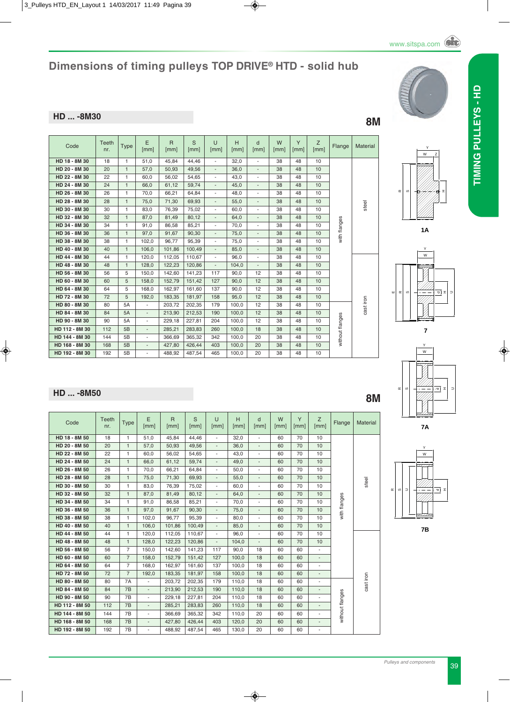# *Pulleys and components* 39

### **Dimensions of timing pulleys TOP DRIVE® HTD - solid hub**

### **HD ... -8M30 8M**

| Code           | Teeth<br>nr. | <b>Type</b>  | E<br>[mm]                | $\overline{R}$<br>[mm] | S<br>[mm] | $\cup$<br>[mm]           | H<br>[mm] | d<br>[mm]                | W<br>[mm] | Y<br>[mm] | Z<br>[mm] | Flange          | Material  |
|----------------|--------------|--------------|--------------------------|------------------------|-----------|--------------------------|-----------|--------------------------|-----------|-----------|-----------|-----------------|-----------|
| HD 18 - 8M 30  | 18           | 1            | 51,0                     | 45,84                  | 44,46     | $\overline{\phantom{a}}$ | 32,0      | $\overline{\phantom{a}}$ | 38        | 48        | 10        |                 |           |
| HD 20 - 8M 30  | 20           | $\mathbf{1}$ | 57.0                     | 50,93                  | 49.56     | $\overline{\phantom{a}}$ | 36,0      | $\overline{\phantom{a}}$ | 38        | 48        | 10        |                 |           |
| HD 22 - 8M 30  | 22           | $\mathbf{1}$ | 60.0                     | 56,02                  | 54,65     | ٠                        | 43,0      | $\overline{\phantom{a}}$ | 38        | 48        | 10        |                 |           |
| HD 24 - 8M 30  | 24           | $\mathbf{1}$ | 66.0                     | 61,12                  | 59.74     | $\overline{\phantom{a}}$ | 45,0      | $\overline{\phantom{a}}$ | 38        | 48        | 10        |                 |           |
| HD 26 - 8M 30  | 26           | $\mathbf{1}$ | 70,0                     | 66.21                  | 64.84     | $\overline{\phantom{a}}$ | 48,0      | $\overline{\phantom{a}}$ | 38        | 48        | 10        |                 |           |
| HD 28 - 8M 30  | 28           | $\mathbf{1}$ | 75,0                     | 71,30                  | 69,93     | $\overline{\phantom{a}}$ | 55,0      | $\overline{\phantom{a}}$ | 38        | 48        | 10        |                 | steel     |
| HD 30 - 8M 30  | 30           | $\mathbf{1}$ | 83,0                     | 76,39                  | 75,02     | $\overline{\phantom{a}}$ | 60,0      | $\overline{\phantom{a}}$ | 38        | 48        | 10        |                 |           |
| HD 32 - 8M 30  | 32           | $\mathbf{1}$ | 87,0                     | 81,49                  | 80,12     | $\overline{\phantom{a}}$ | 64,0      | $\overline{\phantom{a}}$ | 38        | 48        | 10        |                 |           |
| HD 34 - 8M 30  | 34           | 1            | 91,0                     | 86,58                  | 85,21     | $\overline{\phantom{a}}$ | 70,0      | $\overline{\phantom{a}}$ | 38        | 48        | 10        | with flanges    |           |
| HD 36 - 8M 30  | 36           | $\mathbf{1}$ | 97.0                     | 91,67                  | 90,30     | $\overline{\phantom{a}}$ | 75,0      | $\overline{\phantom{a}}$ | 38        | 48        | 10        |                 |           |
| HD 38 - 8M 30  | 38           | $\mathbf{1}$ | 102,0                    | 96,77                  | 95,39     | ٠                        | 75,0      | ٠                        | 38        | 48        | 10        |                 |           |
| HD 40 - 8M 30  | 40           | $\mathbf{1}$ | 106.0                    | 101,86                 | 100,49    | $\overline{\phantom{a}}$ | 85,0      | $\overline{\phantom{a}}$ | 38        | 48        | 10        |                 |           |
| HD 44 - 8M 30  | 44           | $\mathbf{1}$ | 120,0                    | 112,05                 | 110,67    | $\overline{\phantom{a}}$ | 96,0      | $\overline{\phantom{a}}$ | 38        | 48        | 10        |                 |           |
| HD 48 - 8M 30  | 48           | $\mathbf{1}$ | 128,0                    | 122,23                 | 120,86    | $\overline{\phantom{a}}$ | 104,0     | $\overline{\phantom{a}}$ | 38        | 48        | 10        |                 |           |
| HD 56 - 8M 30  | 56           | 5            | 150,0                    | 142,60                 | 141,23    | 117                      | 90.0      | 12                       | 38        | 48        | 10        |                 |           |
| HD 60 - 8M 30  | 60           | 5            | 158,0                    | 152,79                 | 151,42    | 127                      | 90,0      | 12                       | 38        | 48        | 10        |                 |           |
| HD 64 - 8M 30  | 64           | 5            | 168.0                    | 162.97                 | 161.60    | 137                      | 90.0      | 12                       | 38        | 48        | 10        |                 |           |
| HD 72 - 8M 30  | 72           | 5            | 192,0                    | 183,35                 | 181,97    | 158                      | 95,0      | 12                       | 38        | 48        | 10        |                 |           |
| HD 80 - 8M 30  | 80           | 5A           | $\overline{\phantom{a}}$ | 203,72                 | 202,35    | 179                      | 100.0     | 12                       | 38        | 48        | 10        |                 | cast iron |
| HD 84 - 8M 30  | 84           | 5A           | $\overline{\phantom{a}}$ | 213,90                 | 212,53    | 190                      | 100,0     | 12                       | 38        | 48        | 10        |                 |           |
| HD 90 - 8M 30  | 90           | 5A           | $\sim$                   | 229,18                 | 227,81    | 204                      | 100.0     | 12                       | 38        | 48        | 10        |                 |           |
| HD 112 - 8M 30 | 112          | 5B           | $\overline{\phantom{a}}$ | 285,21                 | 283,83    | 260                      | 100.0     | 18                       | 38        | 48        | 10        | without flanges |           |
| HD 144 - 8M 30 | 144          | 5B           | ÷.                       | 366,69                 | 365,32    | 342                      | 100.0     | 20                       | 38        | 48        | 10        |                 |           |
| HD 168 - 8M 30 | 168          | 5B           | $\overline{\phantom{a}}$ | 427,80                 | 426,44    | 403                      | 100,0     | 20                       | 38        | 48        | 10        |                 |           |
| HD 192 - 8M 30 | 192          | 5B           | $\overline{\phantom{a}}$ | 488,92                 | 487,54    | 465                      | 100,0     | 20                       | 38        | 48        | 10        |                 |           |
|                |              |              |                          |                        |           |                          |           |                          |           |           |           |                 |           |

## **HD ... -8M50 8M**

| Code           | Teeth<br>nr. | <b>Type</b>          | E<br>[mm]                | $\mathsf{R}$<br>[mm] | S<br>[mm] | $\cup$<br>[mm]           | H<br>[mm] | d<br>[mm]                | W<br>[mm] | Y<br>[mm] | Z<br>[mm]                | Flange          | Material  |
|----------------|--------------|----------------------|--------------------------|----------------------|-----------|--------------------------|-----------|--------------------------|-----------|-----------|--------------------------|-----------------|-----------|
| HD 18 - 8M 50  | 18           | $\mathbf{1}$         | 51,0                     | 45,84                | 44,46     | $\blacksquare$           | 32,0      | $\overline{\phantom{a}}$ | 60        | 70        | 10                       |                 |           |
| HD 20 - 8M 50  | 20           | $\ddot{\phantom{1}}$ | 57,0                     | 50,93                | 49,56     | $\sim$                   | 36,0      | ÷,                       | 60        | 70        | 10                       |                 |           |
| HD 22 - 8M 50  | 22           | 1.                   | 60,0                     | 56,02                | 54,65     | $\blacksquare$           | 43,0      | $\overline{\phantom{a}}$ | 60        | 70        | 10                       |                 |           |
| HD 24 - 8M 50  | 24           | $\mathbf{1}$         | 66,0                     | 61,12                | 59,74     | $\overline{\phantom{a}}$ | 49,0      | $\overline{\phantom{a}}$ | 60        | 70        | 10                       |                 |           |
| HD 26 - 8M 50  | 26           | 1.                   | 70.0                     | 66,21                | 64.84     | ÷.                       | 50,0      | $\blacksquare$           | 60        | 70        | 10                       |                 |           |
| HD 28 - 8M 50  | 28           | $\mathbf{1}$         | 75,0                     | 71,30                | 69,93     | $\overline{\phantom{a}}$ | 55,0      | $\overline{\phantom{a}}$ | 60        | 70        | 10                       |                 | steel     |
| HD 30 - 8M 50  | 30           | $\mathbf{1}$         | 83.0                     | 76,39                | 75,02     | $\blacksquare$           | 60.0      | $\overline{\phantom{a}}$ | 60        | 70        | 10                       |                 |           |
| HD 32 - 8M 50  | 32           | $\mathbf{1}$         | 87.0                     | 81,49                | 80.12     | $\sim$                   | 64,0      | $\overline{\phantom{a}}$ | 60        | 70        | 10                       |                 |           |
| HD 34 - 8M 50  | 34           | 1.                   | 91,0                     | 86,58                | 85,21     | $\overline{\phantom{a}}$ | 70,0      | $\overline{\phantom{a}}$ | 60        | 70        | 10                       | with flanges    |           |
| HD 36 - 8M 50  | 36           | $\mathbf{1}$         | 97.0                     | 91.67                | 90.30     | $\blacksquare$           | 75.0      | ä,                       | 60        | 70        | 10                       |                 |           |
| HD 38 - 8M 50  | 38           | $\mathbf{1}$         | 102,0                    | 96,77                | 95,39     | $\blacksquare$           | 80,0      | $\overline{\phantom{a}}$ | 60        | 70        | 10                       |                 |           |
| HD 40 - 8M 50  | 40           | $\mathbf{1}$         | 106,0                    | 101,86               | 100,49    | $\blacksquare$           | 85,0      | $\overline{\phantom{a}}$ | 60        | 70        | 10                       |                 |           |
| HD 44 - 8M 50  | 44           | 1                    | 120,0                    | 112,05               | 110,67    | $\overline{\phantom{a}}$ | 96,0      | $\overline{\phantom{a}}$ | 60        | 70        | 10                       |                 |           |
| HD 48 - 8M 50  | 48           | $\mathbf{1}$         | 128,0                    | 122,23               | 120,86    | $\blacksquare$           | 104,0     | $\overline{\phantom{a}}$ | 60        | 70        | 10                       |                 |           |
| HD 56 - 8M 50  | 56           | $\overline{7}$       | 150,0                    | 142,60               | 141,23    | 117                      | 90,0      | 18                       | 60        | 60        | $\blacksquare$           |                 |           |
| HD 60 - 8M 50  | 60           | $\overline{7}$       | 158.0                    | 152,79               | 151.42    | 127                      | 100.0     | 18                       | 60        | 60        | $\blacksquare$           |                 |           |
| HD 64 - 8M 50  | 64           | $\overline{7}$       | 168,0                    | 162,97               | 161,60    | 137                      | 100,0     | 18                       | 60        | 60        | ٠                        |                 |           |
| HD 72 - 8M 50  | 72           | $\overline{7}$       | 192,0                    | 183,35               | 181,97    | 158                      | 100.0     | 18                       | 60        | 60        | $\overline{\phantom{a}}$ |                 |           |
| HD 80 - 8M 50  | 80           | 7A                   | $\overline{\phantom{a}}$ | 203,72               | 202,35    | 179                      | 110.0     | 18                       | 60        | 60        | $\overline{\phantom{a}}$ |                 | cast iron |
| HD 84 - 8M 50  | 84           | 7B                   | $\blacksquare$           | 213,90               | 212,53    | 190                      | 110,0     | 18                       | 60        | 60        | $\overline{\phantom{a}}$ |                 |           |
| HD 90 - 8M 50  | 90           | 7B                   | $\sim$                   | 229,18               | 227,81    | 204                      | 110,0     | 18                       | 60        | 60        | $\overline{\phantom{a}}$ |                 |           |
| HD 112 - 8M 50 | 112          | 7B                   | $\blacksquare$           | 285,21               | 283,83    | 260                      | 110,0     | 18                       | 60        | 60        | $\overline{\phantom{a}}$ | without flanges |           |
| HD 144 - 8M 50 | 144          | 7B                   | $\overline{\phantom{a}}$ | 366,69               | 365,32    | 342                      | 110,0     | 20                       | 60        | 60        | $\overline{\phantom{a}}$ |                 |           |
| HD 168 - 8M 50 | 168          | 7B                   | ÷.                       | 427,80               | 426,44    | 403                      | 120,0     | 20                       | 60        | 60        | $\overline{\phantom{a}}$ |                 |           |
| HD 192 - 8M 50 | 192          | 7B                   | $\overline{\phantom{a}}$ | 488,92               | 487,54    | 465                      | 130,0     | 20                       | 60        | 60        | $\overline{\phantom{a}}$ |                 |           |









**7A**

W Y

**7B**

ত H

 $\equiv$ 



**TIMINg PuLLEyS - HD**

TIMING PULLEYS - HD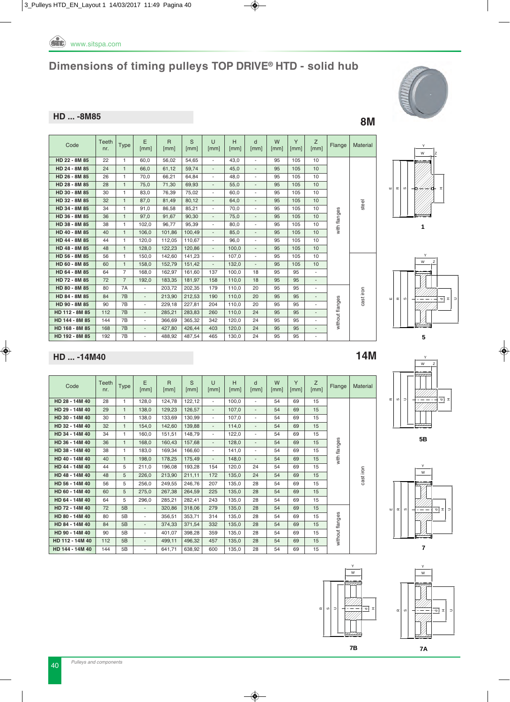

#### **HD ... -8M85 8M**

| S<br>E<br>Y<br>Z<br>$\mathsf{R}$<br>H<br>$\cup$<br>W<br>Teeth<br>d<br>Code<br><b>Type</b><br>Flange<br>[mm]<br>nr.<br>[mm]<br>[mm]<br>[mm]<br>[mm]<br>[mm]<br>[mm]<br>[mm]<br>[mm]<br>HD 22 - 8M 85<br>22<br>60.0<br>56.02<br>54.65<br>43.0<br>95<br>105<br>10<br>1<br>$\overline{\phantom{0}}$<br>٠<br>HD 24 - 8M 85<br>$\mathbf{1}$<br>61,12<br>10<br>24<br>66,0<br>59,74<br>45,0<br>95<br>105<br>$\overline{\phantom{0}}$<br>$\overline{\phantom{a}}$<br>HD 26 - 8M 85<br>26<br>66,21<br>105<br>10<br>1<br>70,0<br>64,84<br>48,0<br>95<br>$\overline{\phantom{a}}$<br>$\overline{\phantom{a}}$<br>HD 28 - 8M 85<br>28<br>$\mathbf{1}$<br>71,30<br>69,93<br>10<br>75,0<br>55,0<br>95<br>105<br>÷.<br>$\overline{\phantom{a}}$<br>HD 30 - 8M 85<br>30<br>1<br>83,0<br>76,39<br>75,02<br>60,0<br>95<br>105<br>10<br>$\overline{\phantom{a}}$<br>٠<br>HD 32 - 8M 85<br>32<br>$\mathbf{1}$<br>10<br>87,0<br>81,49<br>80,12<br>95<br>105<br>64,0<br>$\overline{\phantom{0}}$<br>$\overline{\phantom{a}}$<br>steel<br>HD 34 - 8M 85<br>34<br>86,58<br>85,21<br>95<br>105<br>10<br>$\mathbf{1}$<br>91,0<br>70,0<br>٠<br>٠<br>with flanges<br>HD 36 - 8M 85<br>36<br>$\mathbf{1}$<br>90.30<br>10<br>97.0<br>91.67<br>95<br>105<br>75.0<br>$\overline{\phantom{0}}$<br>٠<br>HD 38 - 8M 85<br>38<br>$\mathbf{1}$<br>95,39<br>105<br>10<br>102.0<br>96.77<br>80,0<br>95<br>$\overline{\phantom{a}}$<br>$\overline{\phantom{a}}$<br>HD 40 - 8M 85<br>$\mathbf{1}$<br>40<br>106.0<br>101,86<br>100.49<br>105<br>10<br>85.0<br>95<br>÷.<br>$\overline{\phantom{0}}$<br>HD 44 - 8M 85<br>44<br>1<br>120.0<br>112.05<br>96.0<br>105<br>10<br>110.67<br>95<br>$\overline{\phantom{a}}$<br>$\overline{\phantom{a}}$<br>HD 48 - 8M 85<br>48<br>$\mathbf{1}$<br>122,23<br>105<br>10<br>128,0<br>120,86<br>100,0<br>95<br>$\overline{\phantom{0}}$<br>$\overline{\phantom{a}}$<br>HD 56 - 8M 85<br>56<br>1<br>142,60<br>141,23<br>95<br>105<br>10<br>150.0<br>107,0<br>$\overline{\phantom{a}}$<br>۰<br>HD 60 - 8M 85<br>60<br>$\mathbf{1}$<br>152,79<br>10<br>158,0<br>151,42<br>132,0<br>95<br>105<br>$\overline{\phantom{0}}$<br>٠<br>$\overline{7}$<br>HD 64 - 8M 85<br>162.97<br>100.0<br>95<br>95<br>64<br>168.0<br>161.60<br>137<br>18<br>٠<br>HD 72 - 8M 85<br>72<br>$\overline{7}$<br>192,0<br>183,35<br>181,97<br>110,0<br>95<br>95<br>158<br>18<br>$\overline{a}$<br>HD 80 - 8M 85<br>80<br>7A<br>203,72<br>202,35<br>110.0<br>20<br>95<br>95<br>179<br>$\blacksquare$<br>٠<br>cast iron<br>HD 84 - 8M 85<br>7B<br>213,90<br>110,0<br>20<br>84<br>212,53<br>190<br>95<br>95<br>$\overline{\phantom{a}}$<br>$\overline{\phantom{a}}$<br>without flanges<br>HD 90 - 8M 85<br>7B<br>95<br>90<br>229,18<br>110.0<br>20<br>95<br>227,81<br>204<br>$\overline{\phantom{a}}$<br>HD 112 - 8M 85<br>112<br>7B<br>285.21<br>283,83<br>110.0<br>24<br>95<br>95<br>260<br>$\overline{\phantom{a}}$<br>HD 144 - 8M 85<br>7B<br>144<br>366.69<br>365,32<br>342<br>120.0<br>24<br>95<br>95<br>$\overline{\phantom{a}}$<br>7B<br>HD 168 - 8M 85<br>168<br>95<br>427,80<br>426.44<br>120,0<br>24<br>95<br>403<br>$\blacksquare$ |                |     |    |                          |        |        |     |       |    |    |    |   |                 |
|--------------------------------------------------------------------------------------------------------------------------------------------------------------------------------------------------------------------------------------------------------------------------------------------------------------------------------------------------------------------------------------------------------------------------------------------------------------------------------------------------------------------------------------------------------------------------------------------------------------------------------------------------------------------------------------------------------------------------------------------------------------------------------------------------------------------------------------------------------------------------------------------------------------------------------------------------------------------------------------------------------------------------------------------------------------------------------------------------------------------------------------------------------------------------------------------------------------------------------------------------------------------------------------------------------------------------------------------------------------------------------------------------------------------------------------------------------------------------------------------------------------------------------------------------------------------------------------------------------------------------------------------------------------------------------------------------------------------------------------------------------------------------------------------------------------------------------------------------------------------------------------------------------------------------------------------------------------------------------------------------------------------------------------------------------------------------------------------------------------------------------------------------------------------------------------------------------------------------------------------------------------------------------------------------------------------------------------------------------------------------------------------------------------------------------------------------------------------------------------------------------------------------------------------------------------------------------------------------------------------------------------------------------------------------------------------------------------------------------------------------------------------------------------------------------------------------------------------------------------------------------------------------------------------------------------------------------------------------------------------------------------------------------------------------------------------------------------------------------|----------------|-----|----|--------------------------|--------|--------|-----|-------|----|----|----|---|-----------------|
|                                                                                                                                                                                                                                                                                                                                                                                                                                                                                                                                                                                                                                                                                                                                                                                                                                                                                                                                                                                                                                                                                                                                                                                                                                                                                                                                                                                                                                                                                                                                                                                                                                                                                                                                                                                                                                                                                                                                                                                                                                                                                                                                                                                                                                                                                                                                                                                                                                                                                                                                                                                                                                                                                                                                                                                                                                                                                                                                                                                                                                                                                                        |                |     |    |                          |        |        |     |       |    |    |    |   | <b>Material</b> |
|                                                                                                                                                                                                                                                                                                                                                                                                                                                                                                                                                                                                                                                                                                                                                                                                                                                                                                                                                                                                                                                                                                                                                                                                                                                                                                                                                                                                                                                                                                                                                                                                                                                                                                                                                                                                                                                                                                                                                                                                                                                                                                                                                                                                                                                                                                                                                                                                                                                                                                                                                                                                                                                                                                                                                                                                                                                                                                                                                                                                                                                                                                        |                |     |    |                          |        |        |     |       |    |    |    |   |                 |
|                                                                                                                                                                                                                                                                                                                                                                                                                                                                                                                                                                                                                                                                                                                                                                                                                                                                                                                                                                                                                                                                                                                                                                                                                                                                                                                                                                                                                                                                                                                                                                                                                                                                                                                                                                                                                                                                                                                                                                                                                                                                                                                                                                                                                                                                                                                                                                                                                                                                                                                                                                                                                                                                                                                                                                                                                                                                                                                                                                                                                                                                                                        |                |     |    |                          |        |        |     |       |    |    |    |   |                 |
|                                                                                                                                                                                                                                                                                                                                                                                                                                                                                                                                                                                                                                                                                                                                                                                                                                                                                                                                                                                                                                                                                                                                                                                                                                                                                                                                                                                                                                                                                                                                                                                                                                                                                                                                                                                                                                                                                                                                                                                                                                                                                                                                                                                                                                                                                                                                                                                                                                                                                                                                                                                                                                                                                                                                                                                                                                                                                                                                                                                                                                                                                                        |                |     |    |                          |        |        |     |       |    |    |    |   |                 |
|                                                                                                                                                                                                                                                                                                                                                                                                                                                                                                                                                                                                                                                                                                                                                                                                                                                                                                                                                                                                                                                                                                                                                                                                                                                                                                                                                                                                                                                                                                                                                                                                                                                                                                                                                                                                                                                                                                                                                                                                                                                                                                                                                                                                                                                                                                                                                                                                                                                                                                                                                                                                                                                                                                                                                                                                                                                                                                                                                                                                                                                                                                        |                |     |    |                          |        |        |     |       |    |    |    |   |                 |
|                                                                                                                                                                                                                                                                                                                                                                                                                                                                                                                                                                                                                                                                                                                                                                                                                                                                                                                                                                                                                                                                                                                                                                                                                                                                                                                                                                                                                                                                                                                                                                                                                                                                                                                                                                                                                                                                                                                                                                                                                                                                                                                                                                                                                                                                                                                                                                                                                                                                                                                                                                                                                                                                                                                                                                                                                                                                                                                                                                                                                                                                                                        |                |     |    |                          |        |        |     |       |    |    |    |   |                 |
|                                                                                                                                                                                                                                                                                                                                                                                                                                                                                                                                                                                                                                                                                                                                                                                                                                                                                                                                                                                                                                                                                                                                                                                                                                                                                                                                                                                                                                                                                                                                                                                                                                                                                                                                                                                                                                                                                                                                                                                                                                                                                                                                                                                                                                                                                                                                                                                                                                                                                                                                                                                                                                                                                                                                                                                                                                                                                                                                                                                                                                                                                                        |                |     |    |                          |        |        |     |       |    |    |    |   |                 |
|                                                                                                                                                                                                                                                                                                                                                                                                                                                                                                                                                                                                                                                                                                                                                                                                                                                                                                                                                                                                                                                                                                                                                                                                                                                                                                                                                                                                                                                                                                                                                                                                                                                                                                                                                                                                                                                                                                                                                                                                                                                                                                                                                                                                                                                                                                                                                                                                                                                                                                                                                                                                                                                                                                                                                                                                                                                                                                                                                                                                                                                                                                        |                |     |    |                          |        |        |     |       |    |    |    |   |                 |
|                                                                                                                                                                                                                                                                                                                                                                                                                                                                                                                                                                                                                                                                                                                                                                                                                                                                                                                                                                                                                                                                                                                                                                                                                                                                                                                                                                                                                                                                                                                                                                                                                                                                                                                                                                                                                                                                                                                                                                                                                                                                                                                                                                                                                                                                                                                                                                                                                                                                                                                                                                                                                                                                                                                                                                                                                                                                                                                                                                                                                                                                                                        |                |     |    |                          |        |        |     |       |    |    |    |   |                 |
|                                                                                                                                                                                                                                                                                                                                                                                                                                                                                                                                                                                                                                                                                                                                                                                                                                                                                                                                                                                                                                                                                                                                                                                                                                                                                                                                                                                                                                                                                                                                                                                                                                                                                                                                                                                                                                                                                                                                                                                                                                                                                                                                                                                                                                                                                                                                                                                                                                                                                                                                                                                                                                                                                                                                                                                                                                                                                                                                                                                                                                                                                                        |                |     |    |                          |        |        |     |       |    |    |    |   |                 |
|                                                                                                                                                                                                                                                                                                                                                                                                                                                                                                                                                                                                                                                                                                                                                                                                                                                                                                                                                                                                                                                                                                                                                                                                                                                                                                                                                                                                                                                                                                                                                                                                                                                                                                                                                                                                                                                                                                                                                                                                                                                                                                                                                                                                                                                                                                                                                                                                                                                                                                                                                                                                                                                                                                                                                                                                                                                                                                                                                                                                                                                                                                        |                |     |    |                          |        |        |     |       |    |    |    |   |                 |
|                                                                                                                                                                                                                                                                                                                                                                                                                                                                                                                                                                                                                                                                                                                                                                                                                                                                                                                                                                                                                                                                                                                                                                                                                                                                                                                                                                                                                                                                                                                                                                                                                                                                                                                                                                                                                                                                                                                                                                                                                                                                                                                                                                                                                                                                                                                                                                                                                                                                                                                                                                                                                                                                                                                                                                                                                                                                                                                                                                                                                                                                                                        |                |     |    |                          |        |        |     |       |    |    |    |   |                 |
|                                                                                                                                                                                                                                                                                                                                                                                                                                                                                                                                                                                                                                                                                                                                                                                                                                                                                                                                                                                                                                                                                                                                                                                                                                                                                                                                                                                                                                                                                                                                                                                                                                                                                                                                                                                                                                                                                                                                                                                                                                                                                                                                                                                                                                                                                                                                                                                                                                                                                                                                                                                                                                                                                                                                                                                                                                                                                                                                                                                                                                                                                                        |                |     |    |                          |        |        |     |       |    |    |    |   |                 |
|                                                                                                                                                                                                                                                                                                                                                                                                                                                                                                                                                                                                                                                                                                                                                                                                                                                                                                                                                                                                                                                                                                                                                                                                                                                                                                                                                                                                                                                                                                                                                                                                                                                                                                                                                                                                                                                                                                                                                                                                                                                                                                                                                                                                                                                                                                                                                                                                                                                                                                                                                                                                                                                                                                                                                                                                                                                                                                                                                                                                                                                                                                        |                |     |    |                          |        |        |     |       |    |    |    |   |                 |
|                                                                                                                                                                                                                                                                                                                                                                                                                                                                                                                                                                                                                                                                                                                                                                                                                                                                                                                                                                                                                                                                                                                                                                                                                                                                                                                                                                                                                                                                                                                                                                                                                                                                                                                                                                                                                                                                                                                                                                                                                                                                                                                                                                                                                                                                                                                                                                                                                                                                                                                                                                                                                                                                                                                                                                                                                                                                                                                                                                                                                                                                                                        |                |     |    |                          |        |        |     |       |    |    |    |   |                 |
|                                                                                                                                                                                                                                                                                                                                                                                                                                                                                                                                                                                                                                                                                                                                                                                                                                                                                                                                                                                                                                                                                                                                                                                                                                                                                                                                                                                                                                                                                                                                                                                                                                                                                                                                                                                                                                                                                                                                                                                                                                                                                                                                                                                                                                                                                                                                                                                                                                                                                                                                                                                                                                                                                                                                                                                                                                                                                                                                                                                                                                                                                                        |                |     |    |                          |        |        |     |       |    |    |    |   |                 |
|                                                                                                                                                                                                                                                                                                                                                                                                                                                                                                                                                                                                                                                                                                                                                                                                                                                                                                                                                                                                                                                                                                                                                                                                                                                                                                                                                                                                                                                                                                                                                                                                                                                                                                                                                                                                                                                                                                                                                                                                                                                                                                                                                                                                                                                                                                                                                                                                                                                                                                                                                                                                                                                                                                                                                                                                                                                                                                                                                                                                                                                                                                        |                |     |    |                          |        |        |     |       |    |    |    |   |                 |
|                                                                                                                                                                                                                                                                                                                                                                                                                                                                                                                                                                                                                                                                                                                                                                                                                                                                                                                                                                                                                                                                                                                                                                                                                                                                                                                                                                                                                                                                                                                                                                                                                                                                                                                                                                                                                                                                                                                                                                                                                                                                                                                                                                                                                                                                                                                                                                                                                                                                                                                                                                                                                                                                                                                                                                                                                                                                                                                                                                                                                                                                                                        |                |     |    |                          |        |        |     |       |    |    |    |   |                 |
|                                                                                                                                                                                                                                                                                                                                                                                                                                                                                                                                                                                                                                                                                                                                                                                                                                                                                                                                                                                                                                                                                                                                                                                                                                                                                                                                                                                                                                                                                                                                                                                                                                                                                                                                                                                                                                                                                                                                                                                                                                                                                                                                                                                                                                                                                                                                                                                                                                                                                                                                                                                                                                                                                                                                                                                                                                                                                                                                                                                                                                                                                                        |                |     |    |                          |        |        |     |       |    |    |    |   |                 |
|                                                                                                                                                                                                                                                                                                                                                                                                                                                                                                                                                                                                                                                                                                                                                                                                                                                                                                                                                                                                                                                                                                                                                                                                                                                                                                                                                                                                                                                                                                                                                                                                                                                                                                                                                                                                                                                                                                                                                                                                                                                                                                                                                                                                                                                                                                                                                                                                                                                                                                                                                                                                                                                                                                                                                                                                                                                                                                                                                                                                                                                                                                        |                |     |    |                          |        |        |     |       |    |    |    |   |                 |
|                                                                                                                                                                                                                                                                                                                                                                                                                                                                                                                                                                                                                                                                                                                                                                                                                                                                                                                                                                                                                                                                                                                                                                                                                                                                                                                                                                                                                                                                                                                                                                                                                                                                                                                                                                                                                                                                                                                                                                                                                                                                                                                                                                                                                                                                                                                                                                                                                                                                                                                                                                                                                                                                                                                                                                                                                                                                                                                                                                                                                                                                                                        |                |     |    |                          |        |        |     |       |    |    |    |   |                 |
|                                                                                                                                                                                                                                                                                                                                                                                                                                                                                                                                                                                                                                                                                                                                                                                                                                                                                                                                                                                                                                                                                                                                                                                                                                                                                                                                                                                                                                                                                                                                                                                                                                                                                                                                                                                                                                                                                                                                                                                                                                                                                                                                                                                                                                                                                                                                                                                                                                                                                                                                                                                                                                                                                                                                                                                                                                                                                                                                                                                                                                                                                                        |                |     |    |                          |        |        |     |       |    |    |    |   |                 |
|                                                                                                                                                                                                                                                                                                                                                                                                                                                                                                                                                                                                                                                                                                                                                                                                                                                                                                                                                                                                                                                                                                                                                                                                                                                                                                                                                                                                                                                                                                                                                                                                                                                                                                                                                                                                                                                                                                                                                                                                                                                                                                                                                                                                                                                                                                                                                                                                                                                                                                                                                                                                                                                                                                                                                                                                                                                                                                                                                                                                                                                                                                        |                |     |    |                          |        |        |     |       |    |    |    |   |                 |
|                                                                                                                                                                                                                                                                                                                                                                                                                                                                                                                                                                                                                                                                                                                                                                                                                                                                                                                                                                                                                                                                                                                                                                                                                                                                                                                                                                                                                                                                                                                                                                                                                                                                                                                                                                                                                                                                                                                                                                                                                                                                                                                                                                                                                                                                                                                                                                                                                                                                                                                                                                                                                                                                                                                                                                                                                                                                                                                                                                                                                                                                                                        | HD 192 - 8M 85 | 192 | 7B | $\overline{\phantom{a}}$ | 488,92 | 487,54 | 465 | 130,0 | 24 | 95 | 95 | ٠ |                 |





#### **HD ... -14M40 14M**

| Code            | Teeth<br>nr. | <b>Type</b>  | E<br>[mm]                | $\mathsf{R}$<br>[mm] | S<br>[mm] | $\cup$<br>[mm]           | H<br>[mm] | $\mathsf{d}$<br>[mm]     | W<br>[mm] | Y<br>[mm] | Z<br>[mm] | Flange          | Material  |
|-----------------|--------------|--------------|--------------------------|----------------------|-----------|--------------------------|-----------|--------------------------|-----------|-----------|-----------|-----------------|-----------|
| HD 28 - 14M 40  | 28           | 1            | 128.0                    | 124.78               | 122.12    | $\overline{\phantom{0}}$ | 100.0     | ۰.                       | 54        | 69        | 15        |                 |           |
| HD 29 - 14M 40  | 29           | $\mathbf{1}$ | 138,0                    | 129,23               | 126,57    | $\overline{\phantom{a}}$ | 107,0     | ٠                        | 54        | 69        | 15        |                 |           |
| HD 30 - 14M 40  | 30           | 1            | 138,0                    | 133,69               | 130,99    | ۰.                       | 107,0     | ۰.                       | 54        | 69        | 15        |                 |           |
| HD 32 - 14M 40  | 32           | $\mathbf{1}$ | 154,0                    | 142,60               | 139,88    | $\overline{\phantom{0}}$ | 114,0     | $\sim$                   | 54        | 69        | 15        |                 |           |
| HD 34 - 14M 40  | 34           | 1            | 160.0                    | 151,51               | 148,79    | ٠                        | 122,0     | ۰.                       | 54        | 69        | 15        |                 |           |
| HD 36 - 14M 40  | 36           | $\mathbf{1}$ | 168,0                    | 160,43               | 157,68    | $\overline{\phantom{a}}$ | 128,0     | $\blacksquare$           | 54        | 69        | 15        | with flanges    |           |
| HD 38 - 14M 40  | 38           | 1            | 183,0                    | 169,34               | 166,60    | ٠                        | 141,0     | $\overline{\phantom{a}}$ | 54        | 69        | 15        |                 |           |
| HD 40 - 14M 40  | 40           | $\mathbf{1}$ | 198,0                    | 178,25               | 175,49    | ۰.                       | 148,0     | $\overline{\phantom{a}}$ | 54        | 69        | 15        |                 |           |
| HD 44 - 14M 40  | 44           | 5            | 211,0                    | 196,08               | 193,28    | 154                      | 120,0     | 24                       | 54        | 69        | 15        |                 |           |
| HD 48 - 14M 40  | 48           | 5            | 226,0                    | 213,90               | 211,11    | 172                      | 135,0     | 24                       | 54        | 69        | 15        |                 | cast iron |
| HD 56 - 14M 40  | 56           | 5            | 256,0                    | 249,55               | 246,76    | 207                      | 135,0     | 28                       | 54        | 69        | 15        |                 |           |
| HD 60 - 14M 40  | 60           | 5            | 275,0                    | 267,38               | 264,59    | 225                      | 135,0     | 28                       | 54        | 69        | 15        |                 |           |
| HD 64 - 14M 40  | 64           | 5            | 296,0                    | 285,21               | 282,41    | 243                      | 135,0     | 28                       | 54        | 69        | 15        |                 |           |
| HD 72 - 14M 40  | 72           | 5B           | $\blacksquare$           | 320,86               | 318,06    | 279                      | 135,0     | 28                       | 54        | 69        | 15        |                 |           |
| HD 80 - 14M 40  | 80           | 5B           | ٠                        | 356,51               | 353,71    | 314                      | 135,0     | 28                       | 54        | 69        | 15        |                 |           |
| HD 84 - 14M 40  | 84           | 5B           | $\overline{\phantom{a}}$ | 374,33               | 371,54    | 332                      | 135,0     | 28                       | 54        | 69        | 15        |                 |           |
| HD 90 - 14M 40  | 90           | 5B           | $\overline{\phantom{a}}$ | 401,07               | 398,28    | 359                      | 135,0     | 28                       | 54        | 69        | 15        |                 |           |
| HD 112 - 14M 40 | 112          | 5B           | $\overline{\phantom{a}}$ | 499,11               | 496,32    | 457                      | 135,0     | 28                       | 54        | 69        | 15        | without flanges |           |
| HD 144 - 14M 40 | 144          | 5Β           | $\overline{\phantom{a}}$ | 641,71               | 638,92    | 600                      | 135,0     | 28                       | 54        | 69        | 15        |                 |           |









**7** W Y



U

**7B**

*Pulleys and components* 40





 $\alpha$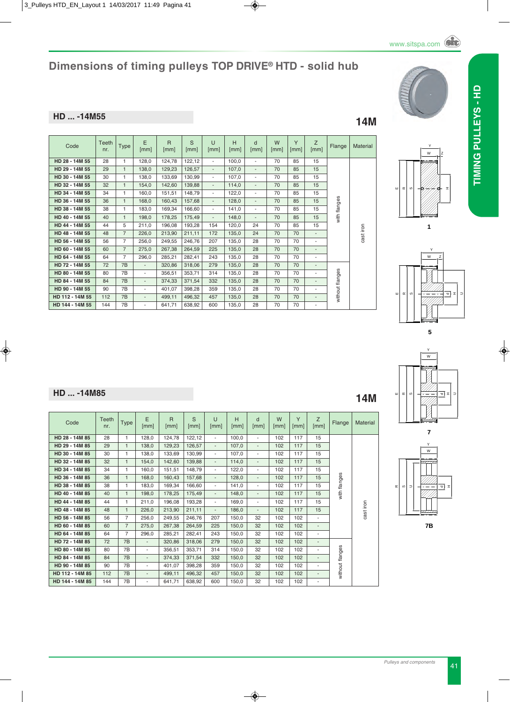## **HD ... -14M55 14M**

| Code            | Teeth<br>nr. | <b>Type</b>    | E<br>[mm]                | $\overline{R}$<br>[mm] | S<br>[mm] | $\cup$<br>[mm]           | H<br>[mm] | d<br>[mm]                | W<br>[mm] | Y<br>[mm] | Z<br>[mm]                | Flange          | Material  |
|-----------------|--------------|----------------|--------------------------|------------------------|-----------|--------------------------|-----------|--------------------------|-----------|-----------|--------------------------|-----------------|-----------|
| HD 28 - 14M 55  | 28           | $\mathbf{1}$   | 128,0                    | 124,78                 | 122,12    | $\overline{\phantom{a}}$ | 100,0     | $\sim$                   | 70        | 85        | 15                       |                 |           |
| HD 29 - 14M 55  | 29           | $\mathbf{1}$   | 138,0                    | 129,23                 | 126,57    | $\blacksquare$           | 107,0     | $\overline{\phantom{a}}$ | 70        | 85        | 15                       |                 |           |
| HD 30 - 14M 55  | 30           | 1              | 138.0                    | 133,69                 | 130,99    | $\sim$                   | 107.0     | $\overline{\phantom{a}}$ | 70        | 85        | 15                       |                 |           |
| HD 32 - 14M 55  | 32           | $\mathbf{1}$   | 154,0                    | 142,60                 | 139,88    | $\overline{\phantom{a}}$ | 114,0     | $\overline{\phantom{a}}$ | 70        | 85        | 15                       |                 |           |
| HD 34 - 14M 55  | 34           | 1              | 160,0                    | 151,51                 | 148,79    | $\sim$                   | 122,0     | $\overline{\phantom{a}}$ | 70        | 85        | 15                       |                 |           |
| HD 36 - 14M 55  | 36           | $\mathbf{1}$   | 168,0                    | 160,43                 | 157,68    | $\overline{\phantom{a}}$ | 128,0     | $\overline{\phantom{a}}$ | 70        | 85        | 15                       | with flanges    |           |
| HD 38 - 14M 55  | 38           | 1              | 183,0                    | 169,34                 | 166,60    | $\overline{\phantom{a}}$ | 141,0     | ٠                        | 70        | 85        | 15                       |                 |           |
| HD 40 - 14M 55  | 40           | $\mathbf{1}$   | 198.0                    | 178,25                 | 175,49    | $\overline{\phantom{a}}$ | 148,0     | ٠                        | 70        | 85        | 15                       |                 |           |
| HD 44 - 14M 55  | 44           | 5              | 211.0                    | 196,08                 | 193,28    | 154                      | 120,0     | 24                       | 70        | 85        | 15                       |                 |           |
| HD 48 - 14M 55  | 48           | $\overline{7}$ | 226,0                    | 213,90                 | 211,11    | 172                      | 135,0     | 24                       | 70        | 70        | $\sim$                   |                 | cast iron |
| HD 56 - 14M 55  | 56           | $\overline{7}$ | 256,0                    | 249,55                 | 246,76    | 207                      | 135,0     | 28                       | 70        | 70        | ٠                        |                 |           |
| HD 60 - 14M 55  | 60           | $\overline{7}$ | 275,0                    | 267,38                 | 264,59    | 225                      | 135,0     | 28                       | 70        | 70        | $\overline{\phantom{a}}$ |                 |           |
| HD 64 - 14M 55  | 64           | $\overline{7}$ | 296,0                    | 285,21                 | 282,41    | 243                      | 135,0     | 28                       | 70        | 70        | $\overline{\phantom{a}}$ |                 |           |
| HD 72 - 14M 55  | 72           | 7B             | $\overline{\phantom{a}}$ | 320,86                 | 318,06    | 279                      | 135,0     | 28                       | 70        | 70        | $\overline{\phantom{a}}$ |                 |           |
| HD 80 - 14M 55  | 80           | 7B             | $\overline{\phantom{a}}$ | 356,51                 | 353,71    | 314                      | 135,0     | 28                       | 70        | 70        | $\overline{\phantom{a}}$ |                 |           |
| HD 84 - 14M 55  | 84           | 7B             | $\overline{\phantom{a}}$ | 374,33                 | 371,54    | 332                      | 135,0     | 28                       | 70        | 70        | $\overline{\phantom{a}}$ |                 |           |
| HD 90 - 14M 55  | 90           | 7B             | $\overline{\phantom{a}}$ | 401,07                 | 398,28    | 359                      | 135,0     | 28                       | 70        | 70        | ٠                        | without flanges |           |
| HD 112 - 14M 55 | 112          | 7B             | $\overline{\phantom{a}}$ | 499.11                 | 496.32    | 457                      | 135.0     | 28                       | 70        | 70        | $\overline{\phantom{a}}$ |                 |           |
| HD 144 - 14M 55 | 144          | 7B             | $\overline{\phantom{a}}$ | 641,71                 | 638,92    | 600                      | 135,0     | 28                       | 70        | 70        | $\overline{\phantom{a}}$ |                 |           |







o. च HW Y

**7** U₹ HW Y **7B**

| HD  -14M85 | 4M |
|------------|----|
|            |    |

| Code            | Teeth<br>nr. | <b>Type</b>    | E<br>[mm]                | $\overline{R}$<br>[mm] | S<br>[mm] | $\cup$<br>[mm]           | H<br>[mm] | d<br>[mm]                | W<br>[mm] | Y<br>[mm] | Z<br>[mm]                | Flange          | Material  |
|-----------------|--------------|----------------|--------------------------|------------------------|-----------|--------------------------|-----------|--------------------------|-----------|-----------|--------------------------|-----------------|-----------|
| HD 28 - 14M 85  | 28           | $\mathbf{1}$   | 128,0                    | 124,78                 | 122,12    | $\overline{\phantom{a}}$ | 100,0     | $\overline{\phantom{a}}$ | 102       | 117       | 15                       |                 |           |
| HD 29 - 14M 85  | 29           | $\mathbf{1}$   | 138,0                    | 129,23                 | 126,57    | $\blacksquare$           | 107,0     | $\overline{\phantom{a}}$ | 102       | 117       | 15                       |                 |           |
| HD 30 - 14M 85  | 30           | 1              | 138,0                    | 133,69                 | 130,99    | $\overline{\phantom{a}}$ | 107,0     | $\overline{\phantom{0}}$ | 102       | 117       | 15                       |                 |           |
| HD 32 - 14M 85  | 32           | $\mathbf{1}$   | 154,0                    | 142,60                 | 139.88    | $\overline{\phantom{a}}$ | 114.0     | $\overline{\phantom{a}}$ | 102       | 117       | 15                       |                 |           |
| HD 34 - 14M 85  | 34           | 1              | 160,0                    | 151,51                 | 148,79    | $\overline{\phantom{a}}$ | 122,0     | $\overline{\phantom{a}}$ | 102       | 117       | 15                       |                 |           |
| HD 36 - 14M 85  | 36           | $\mathbf{1}$   | 168,0                    | 160,43                 | 157,68    | $\overline{\phantom{a}}$ | 128,0     | $\overline{\phantom{a}}$ | 102       | 117       | 15                       | with flanges    |           |
| HD 38 - 14M 85  | 38           | $\mathbf{1}$   | 183,0                    | 169,34                 | 166.60    | $\overline{\phantom{a}}$ | 141.0     | $\overline{\phantom{a}}$ | 102       | 117       | 15                       |                 |           |
| HD 40 - 14M 85  | 40           | $\mathbf{1}$   | 198,0                    | 178,25                 | 175,49    | $\overline{\phantom{a}}$ | 148,0     | $\overline{\phantom{a}}$ | 102       | 117       | 15                       |                 |           |
| HD 44 - 14M 85  | 44           | 1              | 211,0                    | 196,08                 | 193,28    | $\overline{\phantom{a}}$ | 169,0     | $\overline{\phantom{0}}$ | 102       | 117       | 15                       |                 |           |
| HD 48 - 14M 85  | 48           | $\mathbf{1}$   | 226,0                    | 213,90                 | 211,11    | $\blacksquare$           | 186,0     | $\overline{\phantom{a}}$ | 102       | 117       | 15                       |                 | cast iron |
| HD 56 - 14M 85  | 56           | $\overline{7}$ | 256,0                    | 249,55                 | 246,76    | 207                      | 150.0     | 32                       | 102       | 102       | $\overline{\phantom{0}}$ |                 |           |
| HD 60 - 14M 85  | 60           | $\overline{7}$ | 275,0                    | 267,38                 | 264,59    | 225                      | 150.0     | 32                       | 102       | 102       | $\overline{\phantom{a}}$ |                 |           |
| HD 64 - 14M 85  | 64           | 7              | 296.0                    | 285,21                 | 282,41    | 243                      | 150.0     | 32                       | 102       | 102       | $\overline{\phantom{a}}$ |                 |           |
| HD 72 - 14M 85  | 72           | 7B             | ÷.                       | 320,86                 | 318,06    | 279                      | 150,0     | 32                       | 102       | 102       | $\overline{\phantom{a}}$ |                 |           |
| HD 80 - 14M 85  | 80           | 7B             | $\overline{\phantom{a}}$ | 356,51                 | 353,71    | 314                      | 150.0     | 32                       | 102       | 102       | $\overline{\phantom{0}}$ |                 |           |
| HD 84 - 14M 85  | 84           | 7B             | $\overline{\phantom{a}}$ | 374,33                 | 371,54    | 332                      | 150.0     | 32                       | 102       | 102       | $\overline{\phantom{0}}$ |                 |           |
| HD 90 - 14M 85  | 90           | 7B             | $\overline{\phantom{a}}$ | 401,07                 | 398,28    | 359                      | 150,0     | 32                       | 102       | 102       | ٠                        |                 |           |
| HD 112 - 14M 85 | 112          | 7B             | $\overline{\phantom{a}}$ | 499,11                 | 496,32    | 457                      | 150,0     | 32                       | 102       | 102       | $\overline{\phantom{0}}$ | without flanges |           |
| HD 144 - 14M 85 | 144          | 7B             | ٠                        | 641,71                 | 638,92    | 600                      | 150,0     | 32                       | 102       | 102       | $\overline{\phantom{a}}$ |                 |           |



**TIMINg PuLLEyS - HD**

TIMING PULLEYS - HD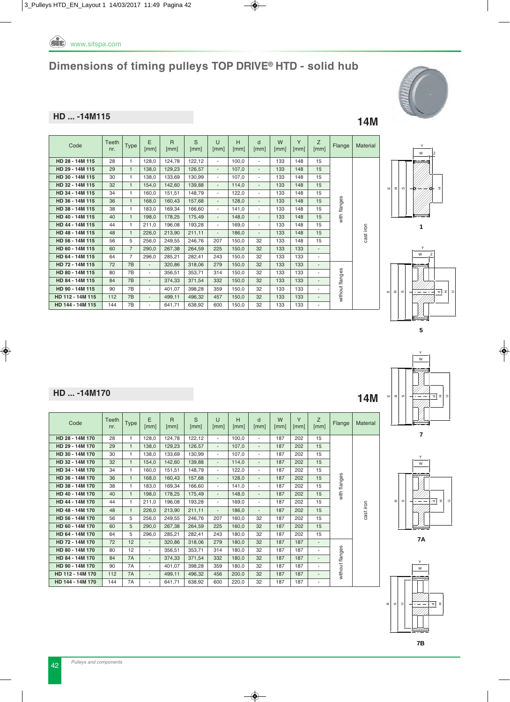

S [mm]

**HD 28 - 14M 115** 28 1 128,0 124,78 122,12 - 100,0 - 133 148 15

**HD 29 - 14M 115** 29 1 138,0 129,23 126,57 - 107,0 - 133 148 15 **HD 30 - 14M 115** 30 1 1 38,0 133,69 130,99 - 107,0 - 133 148 15 **HD 32 - 14M 115** 32 1 154,0 142,60 139,88 - 114,0 - 133 148 15 **HD 34 - 14M 115** 34 1 160,0 151,51 148,79 - 122,0 - 133 148 15 **HD 36 - 14M 115** 36 1 168,0 160,43 157,68 - 128,0 - 133 148 15 **HD 38 - 14M 115** 38 1 183,0 169,34 166,60 - 141,0 - 133 148 15 **HD 40 - 14M 115** 40 1 198,0 178,25 175,49 - 148,0 - 133 148 15 **HD 44 - 14M 115** 44 1 211,0 196,08 193,28 - 169,0 - 133 148 15 **HD 48 - 14M 115** 48 1 226,0 213,90 211,11 - 186,0 - 133 148 15 **HD 56 - 14M 115** 56 5 256,0 249,55 246,76 207 150,0 32 133 148 15 **HD 60 - 14M 115** 60 7 290.0 267.38 264.59 225 150.0 32 133 133 **HD 64 - 14M 115** 64 7 296,0 285,21 282,41 243 150,0 32 133 133 - **HD 72 - 14M 115** 72 7B - 320,86 318,06 279 150,0 32 133 133 -

**HD 80 - 14M 115** 80 7B - 356,51 353,71 314 150,0 32 133 133 -**HD 84 - 14M 115** 84 7B - 374,33 371,54 332 150,0 32 133 133 **HD 90 - 14M 115** 90 7B - 401.07 398.28 359 150.0 32 133 133 -**HD 112 - 14M 115** 112 7B - 499,11 496,32 457 150,0 32 133 133 - **HD 144 - 14M 115** 144 7B - 641,71 638,92 600 150,0 32 133 133 -

U [mm]

H [mm]

d [mm]

W [mm]

Y [mm]  $\frac{Z}{[mm]}$ 

#### **HD ... -14M115 14M**

Code Teeth

 $Type \left| \begin{array}{c} E \\ Imr \end{array} \right|$ [mm]

R [mm]



Flange | Material

cast iron

with flanges

with flanges

without flanges

without flanges















| ш | $\alpha$ | $\circ$ |   |
|---|----------|---------|---|
|   |          |         | ī |
|   |          |         |   |







# **HD ... -14M170 14M**

| Code             | Teeth<br>nr. | <b>Type</b>  | F<br>[mm]                | $\mathsf{R}$<br>[mm] | S<br>[mm] | $\cup$<br>[mm]           | H<br>[mm] | $\mathsf{d}$<br>[mm]     | W<br>[mm] | Y<br>[mm] | Z<br>[mm]                | Flange          | <b>Material</b> |
|------------------|--------------|--------------|--------------------------|----------------------|-----------|--------------------------|-----------|--------------------------|-----------|-----------|--------------------------|-----------------|-----------------|
| HD 28 - 14M 170  | 28           | 1            | 128.0                    | 124,78               | 122,12    | $\overline{\phantom{a}}$ | 100.0     | $\overline{\phantom{a}}$ | 187       | 202       | 15                       |                 |                 |
| HD 29 - 14M 170  | 29           | $\mathbf{1}$ | 138.0                    | 129,23               | 126.57    | ٠                        | 107.0     | $\overline{\phantom{a}}$ | 187       | 202       | 15                       |                 |                 |
| HD 30 - 14M 170  | 30           | 1            | 138.0                    | 133,69               | 130.99    | $\overline{\phantom{a}}$ | 107.0     | $\overline{\phantom{a}}$ | 187       | 202       | 15                       |                 |                 |
| HD 32 - 14M 170  | 32           | $\mathbf{1}$ | 154.0                    | 142.60               | 139.88    | ÷                        | 114.0     | $\overline{a}$           | 187       | 202       | 15                       |                 |                 |
| HD 34 - 14M 170  | 34           | 1            | 160.0                    | 151,51               | 148.79    | $\overline{\phantom{a}}$ | 122.0     | $\overline{\phantom{a}}$ | 187       | 202       | 15                       |                 |                 |
| HD 36 - 14M 170  | 36           | $\mathbf{1}$ | 168.0                    | 160.43               | 157.68    | ٠                        | 128.0     | $\overline{\phantom{a}}$ | 187       | 202       | 15                       | with flanges    |                 |
| HD 38 - 14M 170  | 38           | 1            | 183.0                    | 169.34               | 166.60    | $\overline{\phantom{a}}$ | 141.0     | $\overline{\phantom{a}}$ | 187       | 202       | 15                       |                 |                 |
| HD 40 - 14M 170  | 40           | $\mathbf{1}$ | 198.0                    | 178,25               | 175.49    | ÷                        | 148.0     | $\overline{a}$           | 187       | 202       | 15                       |                 |                 |
| HD 44 - 14M 170  | 44           | 1            | 211.0                    | 196.08               | 193,28    | $\overline{\phantom{0}}$ | 169.0     | ٠                        | 187       | 202       | 15                       |                 |                 |
| HD 48 - 14M 170  | 48           | $\mathbf{1}$ | 226.0                    | 213,90               | 211,11    | $\overline{\phantom{0}}$ | 186.0     | $\overline{\phantom{a}}$ | 187       | 202       | 15                       |                 | cast iron       |
| HD 56 - 14M 170  | 56           | 5            | 256.0                    | 249.55               | 246.76    | 207                      | 160.0     | 32                       | 187       | 202       | 15                       |                 |                 |
| HD 60 - 14M 170  | 60           | 5            | 290.0                    | 267,38               | 264,59    | 225                      | 160.0     | 32                       | 187       | 202       | 15                       |                 |                 |
| HD 64 - 14M 170  | 64           | 5            | 296.0                    | 285.21               | 282.41    | 243                      | 180.0     | 32                       | 187       | 202       | 15                       |                 |                 |
| HD 72 - 14M 170  | 72           | 12           | $\blacksquare$           | 320,86               | 318,06    | 279                      | 180.0     | 32                       | 187       | 187       | $\overline{\phantom{a}}$ |                 |                 |
| HD 80 - 14M 170  | 80           | 12           | ٠                        | 356,51               | 353.71    | 314                      | 180.0     | 32                       | 187       | 187       | $\overline{\phantom{a}}$ |                 |                 |
| HD 84 - 14M 170  | 84           | <b>7A</b>    | $\overline{\phantom{a}}$ | 374,33               | 371.54    | 332                      | 180.0     | 32                       | 187       | 187       | $\overline{\phantom{a}}$ |                 |                 |
| HD 90 - 14M 170  | 90           | <b>7A</b>    | ٠                        | 401.07               | 398.28    | 359                      | 180.0     | 32                       | 187       | 187       | ٠                        |                 |                 |
| HD 112 - 14M 170 | 112          | 7A           | $\overline{\phantom{a}}$ | 499,11               | 496.32    | 456                      | 200.0     | 32                       | 187       | 187       | $\overline{\phantom{a}}$ | without flanges |                 |
| HD 144 - 14M 170 | 144          | <b>7A</b>    | ٠                        | 641.71               | 638.92    | 600                      | 220.0     | 32                       | 187       | 187       | $\overline{\phantom{a}}$ |                 |                 |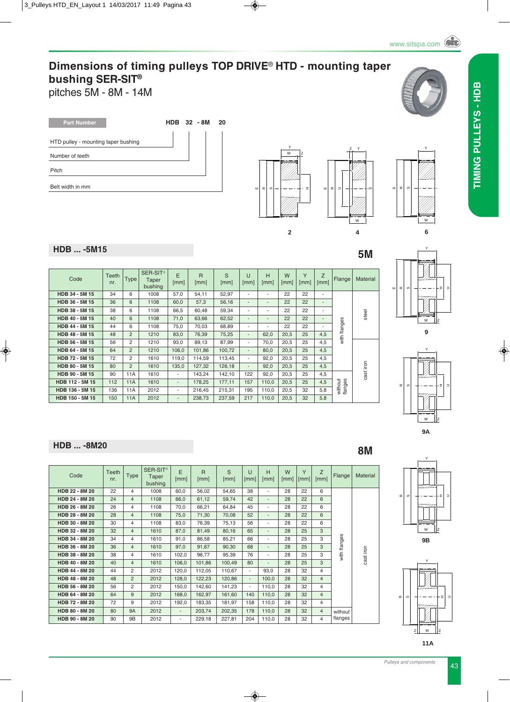pitches 5M - 8M - 14M

| <b>Part Number</b>                  | <b>HDB</b> 32 - 8M | 20 |
|-------------------------------------|--------------------|----|
| HTD pulley - mounting taper bushing |                    |    |
| Number of teeth                     |                    |    |
| Pitch                               |                    |    |
| Belt width in mm                    |                    |    |





**HDB** ... -5M15 5M

| Code            | Teeth<br>nr. | <b>Type</b>    | SER-SIT <sup>®</sup><br>Taper<br>bushing | E<br>[mm] | $\overline{R}$<br>[mm] | S<br>[mm] | U<br>[mm]                | H<br>[mm]                | W<br>[mm] | Y<br>[mm] | Z<br>[mm]                | Flange             | Material  |
|-----------------|--------------|----------------|------------------------------------------|-----------|------------------------|-----------|--------------------------|--------------------------|-----------|-----------|--------------------------|--------------------|-----------|
| HDB 34 - 5M 15  | 34           | 6              | 1008                                     | 57,0      | 54,11                  | 52,97     | ٠                        | ٠                        | 22        | 22        | ٠                        |                    |           |
| HDB 36 - 5M 15  | 36           | 6              | 1108                                     | 60,0      | 57,3                   | 56,16     | $\overline{\phantom{a}}$ | $\overline{\phantom{a}}$ | 22        | 22        | $\overline{\phantom{a}}$ |                    |           |
| HDB 38 - 5M 15  | 38           | 6              | 1108                                     | 66,5      | 60,48                  | 59,34     | ٠                        | ٠                        | 22        | 22        | ٠                        |                    | steel     |
| HDB 40 - 5M 15  | 40           | 6              | 1108                                     | 71,0      | 63,66                  | 62,52     | $\overline{\phantom{a}}$ | $\overline{\phantom{a}}$ | 22        | 22        | $\overline{\phantom{a}}$ |                    |           |
| HDB 44 - 5M 15  | 44           | 6              | 1108                                     | 75,0      | 70,03                  | 68,89     | ٠                        | $\overline{\phantom{a}}$ | 22        | 22        |                          | with flanges       |           |
| HDB 48 - 5M 15  | 48           | $\overline{2}$ | 1210                                     | 83.0      | 76,39                  | 75,25     | $\overline{\phantom{a}}$ | 62.0                     | 20,5      | 25        | 4,5                      |                    |           |
| HDB 56 - 5M 15  | 56           | 2              | 1210                                     | 93,0      | 89,13                  | 87,99     | ۰                        | 70,0                     | 20,5      | 25        | 4,5                      |                    |           |
| HDB 64 - 5M 15  | 64           | $\overline{2}$ | 1210                                     | 106,0     | 101,86                 | 100,72    | $\overline{\phantom{a}}$ | 80,0                     | 20,5      | 25        | 4,5                      |                    |           |
| HDB 72 - 5M 15  | 72           | 2              | 1610                                     | 119,0     | 114,59                 | 113,45    | ۰.                       | 92,0                     | 20,5      | 25        | 4,5                      |                    |           |
| HDB 80 - 5M 15  | 80           | $\overline{2}$ | 1610                                     | 135,0     | 127,32                 | 126,18    | $\overline{\phantom{a}}$ | 92,0                     | 20,5      | 25        | 4,5                      |                    | cast iron |
| HDB 90 - 5M 15  | 90           | 11A            | 1610                                     | ۰.        | 143,24                 | 142,10    | 122                      | 92,0                     | 20,5      | 25        | 4,5                      |                    |           |
| HDB 112 - 5M 15 | 112          | 11A            | 1610                                     | ۰.        | 178,25                 | 177,11    | 157                      | 110.0                    | 20,5      | 25        | 4,5                      |                    |           |
| HDB 136 - 5M 15 | 136          | 11A            | 2012                                     | ۰.        | 216,45                 | 215,31    | 195                      | 110,0                    | 20,5      | 32        | 5,8                      | without<br>flanges |           |
| HDB 150 - 5M 15 | 150          | 11A            | 2012                                     | ۰.        | 238,73                 | 237,59    | 217                      | 110,0                    | 20,5      | 32        | 5,8                      |                    |           |

#### E $\alpha$ o. HW Y Z

**6**



**9**

**HDB** ... -8M20 **8M** 

| Code           | Teeth<br>nr. | <b>Type</b>    | SER-SIT <sup>®</sup><br>Taper<br>bushing | E<br>[mm]                | R<br>[mm] | S<br>[mm] | $\cup$<br>[mm]           | H<br>[mm]      | W<br>[mm] | Y<br>[mm] | Z<br>[mm]      | Flange       | Material  |
|----------------|--------------|----------------|------------------------------------------|--------------------------|-----------|-----------|--------------------------|----------------|-----------|-----------|----------------|--------------|-----------|
| HDB 22 - 8M 20 | 22           | 4              | 1008                                     | 60,0                     | 56,02     | 54,65     | 38                       | ۰              | 28        | 22        | 6              |              |           |
| HDB 24 - 8M 20 | 24           | $\overline{4}$ | 1108                                     | 66,0                     | 61,12     | 59,74     | 42                       | $\overline{a}$ | 28        | 22        | 6              |              |           |
| HDB 26 - 8M 20 | 26           | 4              | 1108                                     | 70,0                     | 66,21     | 64,84     | 45                       | ۰              | 28        | 22        | 6              |              |           |
| HDB 28 - 8M 20 | 28           | $\overline{4}$ | 1108                                     | 75,0                     | 71,30     | 70,08     | 52                       | ٠              | 28        | 22        | 6              |              |           |
| HDB 30 - 8M 20 | 30           | 4              | 1108                                     | 83,0                     | 76,39     | 75,13     | 56                       | ٠              | 28        | 22        | 6              |              |           |
| HDB 32 - 8M 20 | 32           | $\overline{4}$ | 1610                                     | 87,0                     | 81,49     | 80,16     | 65                       | ٠              | 28        | 25        | 3              |              |           |
| HDB 34 - 8M 20 | 34           | 4              | 1610                                     | 91,0                     | 86,58     | 85,21     | 66                       | ۰              | 28        | 25        | 3              |              |           |
| HDB 36 - 8M 20 | 36           | 4              | 1610                                     | 97,0                     | 91,67     | 90,30     | 68                       | ٠              | 28        | 25        | 3              |              |           |
| HDB 38 - 8M 20 | 38           | 4              | 1610                                     | 102,0                    | 96.77     | 95,39     | 76                       | ٠              | 28        | 25        | 3              | with flanges | cast iron |
| HDB 40 - 8M 20 | 40           | $\overline{4}$ | 1610                                     | 106,0                    | 101,86    | 100,49    | 80                       | ٠              | 28        | 25        | 3              |              |           |
| HDB 44 - 8M 20 | 44           | 2              | 2012                                     | 120,0                    | 112,05    | 110,67    | $\overline{\phantom{a}}$ | 93,0           | 28        | 32        | 4              |              |           |
| HDB 48 - 8M 20 | 48           | $\overline{2}$ | 2012                                     | 128,0                    | 122,23    | 120,86    | $\overline{\phantom{a}}$ | 100,0          | 28        | 32        | $\overline{4}$ |              |           |
| HDB 56 - 8M 20 | 56           | $\overline{2}$ | 2012                                     | 150,0                    | 142,60    | 141,23    | $\overline{\phantom{a}}$ | 110,0          | 28        | 32        | 4              |              |           |
| HDB 64 - 8M 20 | 64           | 9              | 2012                                     | 168,0                    | 162,97    | 161,60    | 140                      | 110,0          | 28        | 32        | $\overline{4}$ |              |           |
| HDB 72 - 8M 20 | 72           | 9              | 2012                                     | 192,0                    | 183,35    | 181,97    | 158                      | 110,0          | 28        | 32        | 4              |              |           |
| HDB 80 - 8M 20 | 80           | <b>9A</b>      | 2012                                     | $\overline{\phantom{a}}$ | 203,74    | 202,35    | 178                      | 110,0          | 28        | 32        | $\overline{4}$ | without      |           |
| HDB 90 - 8M 20 | 90           | 9B             | 2012                                     | ٠                        | 229,18    | 227,81    | 204                      | 110,0          | 28        | 32        | 4              | flanges      |           |



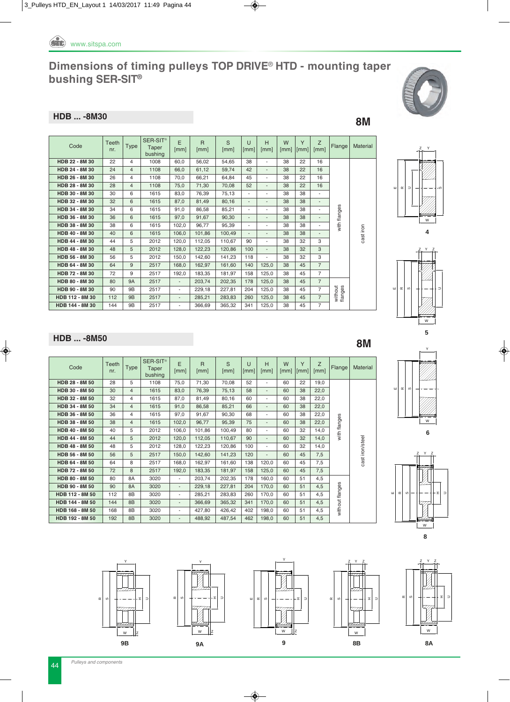

#### **HDB ... -8M30** 8M

| Code            | Teeth<br>nr. | <b>Type</b>    | SER-SIT <sup>®</sup><br>Taper<br>bushing | E<br>[mm]                | $\mathsf{R}$<br>[mm] | S<br>[mm] | U<br>[mm]                | H<br>[mm]                | W<br>[mm] | Y<br>[mm] | Z<br>[mm]                | Flange             | Material  |
|-----------------|--------------|----------------|------------------------------------------|--------------------------|----------------------|-----------|--------------------------|--------------------------|-----------|-----------|--------------------------|--------------------|-----------|
| HDB 22 - 8M 30  | 22           | $\overline{4}$ | 1008                                     | 60.0                     | 56,02                | 54,65     | 38                       | ٠                        | 38        | 22        | 16                       |                    |           |
| HDB 24 - 8M 30  | 24           | $\overline{4}$ | 1108                                     | 66.0                     | 61,12                | 59.74     | 42                       | $\blacksquare$           | 38        | 22        | 16                       |                    |           |
| HDB 26 - 8M 30  | 26           | $\overline{4}$ | 1108                                     | 70.0                     | 66,21                | 64.84     | 45                       | $\overline{\phantom{a}}$ | 38        | 22        | 16                       |                    |           |
| HDB 28 - 8M 30  | 28           | $\overline{4}$ | 1108                                     | 75,0                     | 71,30                | 70.08     | 52                       | $\blacksquare$           | 38        | 22        | 16                       |                    |           |
| HDB 30 - 8M 30  | 30           | 6              | 1615                                     | 83,0                     | 76,39                | 75,13     | $\overline{\phantom{a}}$ | ٠                        | 38        | 38        |                          |                    |           |
| HDB 32 - 8M 30  | 32           | 6              | 1615                                     | 87.0                     | 81,49                | 80,16     | $\overline{\phantom{a}}$ | $\blacksquare$           | 38        | 38        | $\overline{\phantom{a}}$ |                    |           |
| HDB 34 - 8M 30  | 34           | 6              | 1615                                     | 91,0                     | 86.58                | 85,21     | $\overline{\phantom{a}}$ | ٠                        | 38        | 38        |                          | with flanges       |           |
| HDB 36 - 8M 30  | 36           | 6              | 1615                                     | 97,0                     | 91,67                | 90.30     | $\overline{\phantom{a}}$ | $\overline{\phantom{a}}$ | 38        | 38        |                          |                    |           |
| HDB 38 - 8M 30  | 38           | 6              | 1615                                     | 102,0                    | 96,77                | 95,39     | $\overline{\phantom{a}}$ | ٠                        | 38        | 38        |                          |                    |           |
| HDB 40 - 8M 30  | 40           | 6              | 1615                                     | 106,0                    | 101,86               | 100.49    | $\overline{\phantom{a}}$ | $\blacksquare$           | 38        | 38        |                          |                    | cast iron |
| HDB 44 - 8M 30  | 44           | 5              | 2012                                     | 120.0                    | 112,05               | 110,67    | 90                       | $\overline{\phantom{a}}$ | 38        | 32        | 3                        |                    |           |
| HDB 48 - 8M 30  | 48           | 5              | 2012                                     | 128,0                    | 122,23               | 120,86    | 100                      | $\overline{\phantom{a}}$ | 38        | 32        | 3                        |                    |           |
| HDB 56 - 8M 30  | 56           | 5              | 2012                                     | 150,0                    | 142,60               | 141,23    | 118                      | ٠                        | 38        | 32        | 3                        |                    |           |
| HDB 64 - 8M 30  | 64           | 9              | 2517                                     | 168.0                    | 162,97               | 161,60    | 140                      | 125,0                    | 38        | 45        | $\overline{7}$           |                    |           |
| HDB 72 - 8M 30  | 72           | 9              | 2517                                     | 192,0                    | 183,35               | 181,97    | 158                      | 125,0                    | 38        | 45        | $\overline{7}$           |                    |           |
| HDB 80 - 8M 30  | 80           | <b>9A</b>      | 2517                                     | $\overline{\phantom{0}}$ | 203,74               | 202,35    | 178                      | 125,0                    | 38        | 45        | $\overline{7}$           |                    |           |
| HDB 90 - 8M 30  | 90           | 9B             | 2517                                     | $\overline{\phantom{a}}$ | 229.18               | 227.81    | 204                      | 125,0                    | 38        | 45        | $\overline{7}$           | without<br>flanges |           |
| HDB 112 - 8M 30 | 112          | 9B             | 2517                                     | $\overline{\phantom{0}}$ | 285.21               | 283,83    | 260                      | 125,0                    | 38        | 45        | $\overline{7}$           |                    |           |
| HDB 144 - 8M 30 | 144          | 9Β             | 2517                                     | ٠                        | 366,69               | 365,32    | 341                      | 125,0                    | 38        | 45        | $\overline{7}$           |                    |           |





### **HDB** ... -8M50 8M

| Code            | Teeth<br>nr. | <b>Type</b>    | SER-SIT <sup>®</sup><br>Taper<br>bushing | E<br>[mm]                | $\mathsf{R}$<br>[mm] | S<br>[mm] | $\cup$<br>[mm] | H<br>[mm]                | W<br>[mm] | Y<br>$\lceil$ mm $\rceil$ | Z<br>[mm] | Flange          | Material        |
|-----------------|--------------|----------------|------------------------------------------|--------------------------|----------------------|-----------|----------------|--------------------------|-----------|---------------------------|-----------|-----------------|-----------------|
| HDB 28 - 8M 50  | 28           | 5              | 1108                                     | 75,0                     | 71,30                | 70,08     | 52             | $\overline{\phantom{a}}$ | 60        | 22                        | 19.0      |                 |                 |
| HDB 30 - 8M 50  | 30           | $\overline{4}$ | 1615                                     | 83,0                     | 76,39                | 75,13     | 58             | $\overline{\phantom{a}}$ | 60        | 38                        | 22,0      |                 |                 |
| HDB 32 - 8M 50  | 32           | 4              | 1615                                     | 87,0                     | 81,49                | 80,16     | 60             | ٠                        | 60        | 38                        | 22,0      |                 |                 |
| HDB 34 - 8M 50  | 34           | 4              | 1615                                     | 91,0                     | 86,58                | 85,21     | 66             | $\overline{\phantom{a}}$ | 60        | 38                        | 22,0      | with flanges    | cast iron/steel |
| HDB 36 - 8M 50  | 36           | 4              | 1615                                     | 97,0                     | 91,67                | 90,30     | 68             | $\overline{\phantom{a}}$ | 60        | 38                        | 22,0      |                 |                 |
| HDB 38 - 8M 50  | 38           | 4              | 1615                                     | 102,0                    | 96,77                | 95,39     | 75             | $\overline{\phantom{a}}$ | 60        | 38                        | 22,0      |                 |                 |
| HDB 40 - 8M 50  | 40           | 5              | 2012                                     | 106,0                    | 101,86               | 100,49    | 80             | ٠                        | 60        | 32                        | 14,0      |                 |                 |
| HDB 44 - 8M 50  | 44           | 5              | 2012                                     | 120,0                    | 112,05               | 110,67    | 90             | $\overline{\phantom{a}}$ | 60        | 32                        | 14,0      |                 |                 |
| HDB 48 - 8M 50  | 48           | 5              | 2012                                     | 128,0                    | 122,23               | 120,86    | 100            | $\overline{\phantom{a}}$ | 60        | 32                        | 14,0      |                 |                 |
| HDB 56 - 8M 50  | 56           | 5              | 2517                                     | 150,0                    | 142,60               | 141,23    | 120            | $\overline{\phantom{a}}$ | 60        | 45                        | 7,5       |                 |                 |
| HDB 64 - 8M 50  | 64           | 8              | 2517                                     | 168,0                    | 162,97               | 161,60    | 138            | 120,0                    | 60        | 45                        | 7,5       |                 |                 |
| HDB 72 - 8M 50  | 72           | 8              | 2517                                     | 192,0                    | 183,35               | 181,97    | 158            | 125,0                    | 60        | 45                        | 7,5       |                 |                 |
| HDB 80 - 8M 50  | 80           | 8A             | 3020                                     | $\overline{\phantom{a}}$ | 203,74               | 202,35    | 178            | 160,0                    | 60        | 51                        | 4,5       |                 |                 |
| HDB 90 - 8M 50  | 90           | 8A             | 3020                                     | $\overline{\phantom{0}}$ | 229,18               | 227,81    | 204            | 170,0                    | 60        | 51                        | 4,5       |                 |                 |
| HDB 112 - 8M 50 | 112          | 8B             | 3020                                     | $\overline{\phantom{a}}$ | 285,21               | 283,83    | 260            | 170,0                    | 60        | 51                        | 4,5       |                 |                 |
| HDB 144 - 8M 50 | 144          | 8 <sub>B</sub> | 3020                                     | $\overline{\phantom{0}}$ | 366,69               | 365,32    | 341            | 170,0                    | 60        | 51                        | 4,5       | without flanges |                 |
| HDB 168 - 8M 50 | 168          | 8B             | 3020                                     | ٠                        | 427,80               | 426,42    | 402            | 198,0                    | 60        | 51                        | 4,5       |                 |                 |
| HDB 192 - 8M 50 | 192          | 8 <sub>B</sub> | 3020                                     | $\overline{a}$           | 488,92               | 487,54    | 462            | 198,0                    | 60        | 51                        | 4,5       |                 |                 |











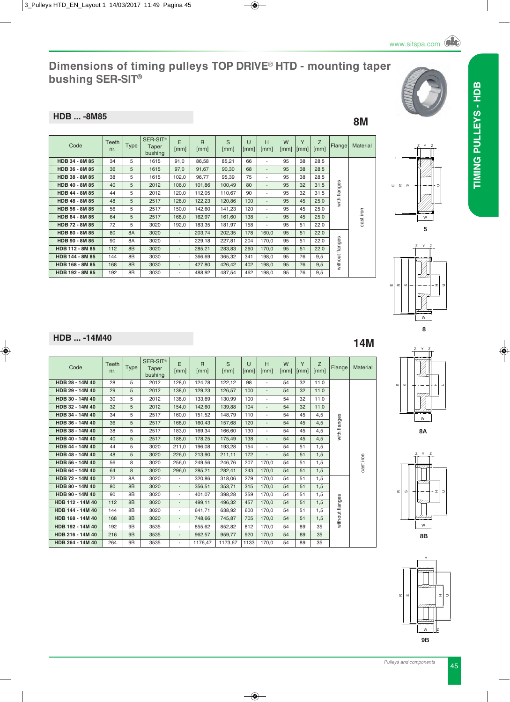#### **HDB ... -8M85** 8M

SER-SIT<sup>â</sup> Code Teeth E R S U H W Y  $\frac{Z}{[mm]}$ Flange Material Type Taper [mm] [mm] [mm] [mm] [mm] [mm]  $\vert$ [mm] bushing **HDB 34 - 8M 85** 34 5 1615 91,0 86,58 85,21 66 - 95 38 28,5 **HDB 36 - 8M 85** 36 5 1615 97,0 91,67 90,30 68 - 95 38 28,5 **HDB 38 - 8M 85** 38 38 5 1615 102,0 96,77 35,39 75 - 95 38 38 28,5 flanges **HDB 40 - 8M 85** 40 5 2012 106,0 101,86 100,49 80 - 95 32 31,5 with flanges **HDB 44 - 8M 85** 44 5 2012 120,0 112,05 110,67 90 - 95 32 31,5  $with 1$ **HDB 48 - 8M 85** 48 5 2517 128,0 122,23 120,86 100 - 95 45 25,0 **HDB 56 - 8M 85** 56 5 2517 150,0 142,60 141,23 120 - 95 45 25,0 cast iron **HDB 64 - 8M 85** 64 5 2517 168,0 162,97 161,60 138 - 95 45 25,0 **HDB 72 - 8M 85** 72 5 3020 192,0 183,35 181,97 158 - 95 51 22,0 **HDB 80 - 8M 85** 80 8A 3020 - 203,74 202,35 178 160,0 95 51 22,0 flanges **HDB 90 - 8M 85** 90 8A 3020 - 229,18 227,81 204 170,0 95 51 22,0 without flanges **HDB 112 - 8M 85** 112 8B 3020 - 285,21 283,83 260 170,0 95 51 22,0 without f **HDB 144 - 8M 85** 144 8B 3030 - 366,69 365,32 341 198,0 95 76 9,5 **HDB 168 - 8M 85** 168 8B 3030 - 427,80 426,42 402 198,0 95 76 9,5 **HDB 192 - 8M 85** 192 8B 3030 - 488,92 487,54 462 198,0 95 76 9,5

**HDB** ... -14M40 **14M** 

| Code             | Teeth<br>nr. | <b>Type</b>    | SER-SIT <sup>®</sup><br>Taper<br>bushing | E<br>[mm]                | $\mathsf{R}$<br>[mm] | S<br>[mm] | $\cup$<br>[mm] | H<br>[mm]                | W<br>[mm] | Y<br>[mm] | Z<br>[mm] | Flange          | Material  |
|------------------|--------------|----------------|------------------------------------------|--------------------------|----------------------|-----------|----------------|--------------------------|-----------|-----------|-----------|-----------------|-----------|
| HDB 28 - 14M 40  | 28           | 5              | 2012                                     | 128.0                    | 124,78               | 122,12    | 98             | ٠                        | 54        | 32        | 11.0      |                 |           |
| HDB 29 - 14M 40  | 29           | 5              | 2012                                     | 138,0                    | 129,23               | 126,57    | 100            | $\overline{\phantom{a}}$ | 54        | 32        | 11,0      |                 |           |
| HDB 30 - 14M 40  | 30           | 5              | 2012                                     | 138,0                    | 133,69               | 130,99    | 100            | ٠                        | 54        | 32        | 11,0      |                 |           |
| HDB 32 - 14M 40  | 32           | 5              | 2012                                     | 154.0                    | 142.60               | 139.88    | 104            | $\overline{\phantom{a}}$ | 54        | 32        | 11.0      |                 |           |
| HDB 34 - 14M 40  | 34           | 5              | 2517                                     | 160.0                    | 151.52               | 148.79    | 110            | $\overline{\phantom{a}}$ | 54        | 45        | 4.5       |                 |           |
| HDB 36 - 14M 40  | 36           | 5              | 2517                                     | 168.0                    | 160.43               | 157.68    | 120            | $\overline{\phantom{a}}$ | 54        | 45        | 4,5       |                 | cast iron |
| HDB 38 - 14M 40  | 38           | 5              | 2517                                     | 183.0                    | 169.34               | 166.60    | 130            | L,                       | 54        | 45        | 4.5       | with flanges    |           |
| HDB 40 - 14M 40  | 40           | 5              | 2517                                     | 188,0                    | 178,25               | 175.49    | 138            | $\overline{\phantom{a}}$ | 54        | 45        | 4,5       |                 |           |
| HDB 44 - 14M 40  | 44           | 5              | 3020                                     | 211.0                    | 196.08               | 193.28    | 154            | $\overline{\phantom{a}}$ | 54        | 51        | 1.5       |                 |           |
| HDB 48 - 14M 40  | 48           | 5              | 3020                                     | 226,0                    | 213,90               | 211,11    | 172            | $\overline{\phantom{a}}$ | 54        | 51        | 1,5       |                 |           |
| HDB 56 - 14M 40  | 56           | 8              | 3020                                     | 256.0                    | 249.56               | 246.76    | 207            | 170.0                    | 54        | 51        | 1.5       |                 |           |
| HDB 64 - 14M 40  | 64           | 8              | 3020                                     | 296,0                    | 285.21               | 282,41    | 243            | 170,0                    | 54        | 51        | 1,5       |                 |           |
| HDB 72 - 14M 40  | 72           | 8A             | 3020                                     | $\overline{\phantom{a}}$ | 320.86               | 318,06    | 279            | 170,0                    | 54        | 51        | 1,5       |                 |           |
| HDB 80 - 14M 40  | 80           | 8 <sub>B</sub> | 3020                                     | $\overline{\phantom{a}}$ | 356.51               | 353,71    | 315            | 170,0                    | 54        | 51        | 1,5       |                 |           |
| HDB 90 - 14M 40  | 90           | 8B             | 3020                                     | $\overline{\phantom{a}}$ | 401.07               | 398.28    | 359            | 170.0                    | 54        | 51        | 1.5       |                 |           |
| HDB 112 - 14M 40 | 112          | 8 <sub>B</sub> | 3020                                     | $\overline{\phantom{a}}$ | 499.11               | 496.32    | 457            | 170,0                    | 54        | 51        | 1.5       |                 |           |
| HDB 144 - 14M 40 | 144          | 8B             | 3020                                     | $\overline{\phantom{a}}$ | 641.71               | 638.92    | 600            | 170,0                    | 54        | 51        | 1.5       |                 |           |
| HDB 168 - 14M 40 | 168          | 8 <sub>B</sub> | 3020                                     | $\overline{\phantom{a}}$ | 748.66               | 745,87    | 705            | 170,0                    | 54        | 51        | 1.5       | without flanges |           |
| HDB 192 - 14M 40 | 192          | 9B             | 3535                                     | $\overline{\phantom{a}}$ | 855,62               | 852,82    | 812            | 170,0                    | 54        | 89        | 35        |                 |           |
| HDB 216 - 14M 40 | 216          | 9B             | 3535                                     | $\overline{\phantom{a}}$ | 962,57               | 959,77    | 920            | 170.0                    | 54        | 89        | 35        |                 |           |
| HDB 264 - 14M 40 | 264          | 9B             | 3535                                     | $\overline{\phantom{a}}$ | 1176,47              | 1173,67   | 1133           | 170,0                    | 54        | 89        | 35        |                 |           |











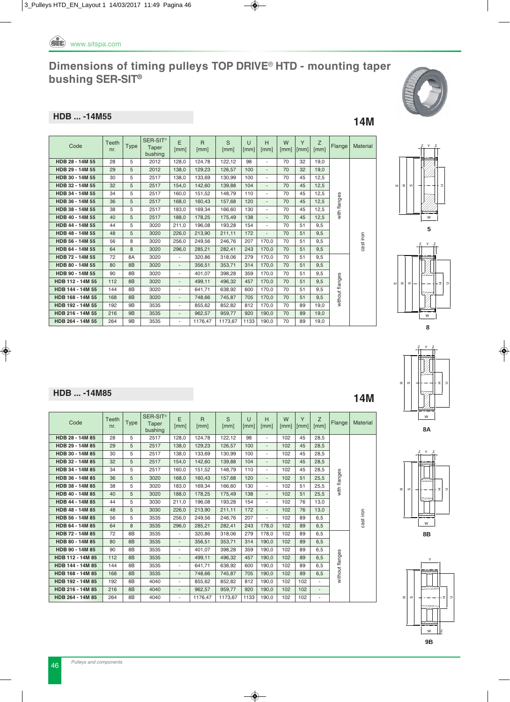

#### **HDB ... -14M55 14M**

| $\overline{\phantom{a}}$ |  |
|--------------------------|--|

| Code             | <b>Teeth</b><br>nr. | <b>Type</b>    | SER-SIT <sup>®</sup><br>Taper<br>bushing | E<br>[mm]                | $\mathsf{R}$<br>[mm] | S<br>[mm] | U<br>[mm] | H<br>[mm]                | W<br>[mm] | Y<br>[mm] | Z<br>[mm] | Flange          | Material  |
|------------------|---------------------|----------------|------------------------------------------|--------------------------|----------------------|-----------|-----------|--------------------------|-----------|-----------|-----------|-----------------|-----------|
| HDB 28 - 14M 55  | 28                  | 5              | 2012                                     | 128,0                    | 124,78               | 122,12    | 98        | ٠                        | 70        | 32        | 19,0      |                 |           |
| HDB 29 - 14M 55  | 29                  | 5              | 2012                                     | 138,0                    | 129.23               | 126,57    | 100       | $\overline{\phantom{a}}$ | 70        | 32        | 19.0      |                 |           |
| HDB 30 - 14M 55  | 30                  | 5              | 2517                                     | 138,0                    | 133,69               | 130,99    | 100       | $\overline{\phantom{a}}$ | 70        | 45        | 12,5      |                 |           |
| HDB 32 - 14M 55  | 32                  | 5              | 2517                                     | 154,0                    | 142,60               | 139.88    | 104       | $\overline{\phantom{a}}$ | 70        | 45        | 12,5      |                 |           |
| HDB 34 - 14M 55  | 34                  | 5              | 2517                                     | 160.0                    | 151.52               | 148.79    | 110       | $\overline{\phantom{a}}$ | 70        | 45        | 12.5      |                 |           |
| HDB 36 - 14M 55  | 36                  | 5              | 2517                                     | 168.0                    | 160.43               | 157.68    | 120       | $\overline{\phantom{a}}$ | 70        | 45        | 12.5      | with flanges    |           |
| HDB 38 - 14M 55  | 38                  | 5              | 2517                                     | 183.0                    | 169.34               | 166.60    | 130       | $\overline{\phantom{a}}$ | 70        | 45        | 12.5      |                 |           |
| HDB 40 - 14M 55  | 40                  | 5              | 2517                                     | 188,0                    | 178,25               | 175,49    | 138       | $\overline{\phantom{a}}$ | 70        | 45        | 12,5      |                 |           |
| HDB 44 - 14M 55  | 44                  | 5              | 3020                                     | 211,0                    | 196,08               | 193,28    | 154       | $\overline{\phantom{a}}$ | 70        | 51        | 9,5       |                 | cast iron |
| HDB 48 - 14M 55  | 48                  | 5              | 3020                                     | 226,0                    | 213,90               | 211,11    | 172       | $\blacksquare$           | 70        | 51        | 9,5       |                 |           |
| HDB 56 - 14M 55  | 56                  | 8              | 3020                                     | 256,0                    | 249,56               | 246,76    | 207       | 170,0                    | 70        | 51        | 9,5       |                 |           |
| HDB 64 - 14M 55  | 64                  | 8              | 3020                                     | 296,0                    | 285,21               | 282,41    | 243       | 170,0                    | 70        | 51        | 9,5       |                 |           |
| HDB 72 - 14M 55  | 72                  | <b>8A</b>      | 3020                                     | $\overline{\phantom{a}}$ | 320.86               | 318,06    | 279       | 170.0                    | 70        | 51        | 9.5       |                 |           |
| HDB 80 - 14M 55  | 80                  | 8 <sub>B</sub> | 3020                                     | $\overline{\phantom{a}}$ | 356.51               | 353,71    | 314       | 170.0                    | 70        | 51        | 9,5       |                 |           |
| HDB 90 - 14M 55  | 90                  | 8B             | 3020                                     | $\blacksquare$           | 401.07               | 398.28    | 359       | 170.0                    | 70        | 51        | 9.5       |                 |           |
| HDB 112 - 14M 55 | 112                 | 8B             | 3020                                     | $\overline{\phantom{a}}$ | 499,11               | 496,32    | 457       | 170,0                    | 70        | 51        | 9.5       | without flanges |           |
| HDB 144 - 14M 55 | 144                 | 8B             | 3020                                     | $\overline{\phantom{a}}$ | 641.71               | 638.92    | 600       | 170.0                    | 70        | 51        | 9.5       |                 |           |
| HDB 168 - 14M 55 | 168                 | 8B             | 3020                                     | $\overline{\phantom{a}}$ | 748,66               | 745,87    | 705       | 170,0                    | 70        | 51        | 9,5       |                 |           |
| HDB 192 - 14M 55 | 192                 | <b>9B</b>      | 3535                                     | $\overline{\phantom{a}}$ | 855.62               | 852,82    | 812       | 170,0                    | 70        | 89        | 19.0      |                 |           |
| HDB 216 - 14M 55 | 216                 | 9B             | 3535                                     | $\overline{\phantom{a}}$ | 962,57               | 959,77    | 920       | 190.0                    | 70        | 89        | 19.0      |                 |           |
| HDB 264 - 14M 55 | 264                 | 9B             | 3535                                     | $\overline{\phantom{a}}$ | 1176,47              | 1173,67   | 1133      | 190,0                    | 70        | 89        | 19,0      |                 |           |











**HDB** ... -14M85 **14M** 

| Code             | Teeth<br>nr. | <b>Type</b>    | SER-SIT <sup>®</sup><br>Taper<br>bushing | E<br>[mm]                | $\mathsf{R}$<br>[mm] | S<br>[mm] | U<br>[mm] | H<br>[mm]                | W<br>[mm] | Y<br>[mm] | Z<br>[mm]                | Flange          | Material  |
|------------------|--------------|----------------|------------------------------------------|--------------------------|----------------------|-----------|-----------|--------------------------|-----------|-----------|--------------------------|-----------------|-----------|
| HDB 28 - 14M 85  | 28           | 5              | 2517                                     | 128.0                    | 124.78               | 122.12    | 98        | ٠                        | 102       | 45        | 28,5                     |                 |           |
| HDB 29 - 14M 85  | 29           | 5              | 2517                                     | 138,0                    | 129,23               | 126,57    | 100       | $\overline{\phantom{a}}$ | 102       | 45        | 28,5                     |                 |           |
| HDB 30 - 14M 85  | 30           | 5              | 2517                                     | 138,0                    | 133,69               | 130.99    | 100       | $\overline{\phantom{a}}$ | 102       | 45        | 28.5                     |                 |           |
| HDB 32 - 14M 85  | 32           | 5              | 2517                                     | 154,0                    | 142,60               | 139.88    | 104       | $\overline{\phantom{a}}$ | 102       | 45        | 28,5                     |                 |           |
| HDB 34 - 14M 85  | 34           | 5              | 2517                                     | 160.0                    | 151,52               | 148.79    | 110       | ٠                        | 102       | 45        | 28.5                     |                 | cast iron |
| HDB 36 - 14M 85  | 36           | 5              | 3020                                     | 168.0                    | 160.43               | 157.68    | 120       | $\overline{\phantom{a}}$ | 102       | 51        | 25.5                     |                 |           |
| HDB 38 - 14M 85  | 38           | 5              | 3020                                     | 183.0                    | 169.34               | 166.60    | 130       | $\overline{\phantom{a}}$ | 102       | 51        | 25.5                     | with flanges    |           |
| HDB 40 - 14M 85  | 40           | 5              | 3020                                     | 188.0                    | 178.25               | 175.49    | 138       | $\overline{\phantom{a}}$ | 102       | 51        | 25.5                     |                 |           |
| HDB 44 - 14M 85  | 44           | 5              | 3030                                     | 211.0                    | 196.08               | 193.28    | 154       | $\overline{\phantom{a}}$ | 102       | 76        | 13.0                     |                 |           |
| HDB 48 - 14M 85  | 48           | 5              | 3030                                     | 226,0                    | 213,90               | 211,11    | 172       | $\overline{\phantom{a}}$ | 102       | 76        | 13,0                     |                 |           |
| HDB 56 - 14M 85  | 56           | 5              | 3535                                     | 256.0                    | 249.56               | 246.76    | 207       | ٠                        | 102       | 89        | 6.5                      |                 |           |
| HDB 64 - 14M 85  | 64           | 8              | 3535                                     | 296,0                    | 285.21               | 282,41    | 243       | 178,0                    | 102       | 89        | 6,5                      |                 |           |
| HDB 72 - 14M 85  | 72           | 8B             | 3535                                     | $\overline{\phantom{a}}$ | 320.86               | 318,06    | 279       | 178,0                    | 102       | 89        | 6,5                      |                 |           |
| HDB 80 - 14M 85  | 80           | 8 <sub>B</sub> | 3535                                     | $\overline{\phantom{a}}$ | 356.51               | 353.71    | 314       | 190.0                    | 102       | 89        | 6.5                      |                 |           |
| HDB 90 - 14M 85  | 90           | 8B             | 3535                                     | $\overline{\phantom{0}}$ | 401.07               | 398.28    | 359       | 190.0                    | 102       | 89        | 6.5                      |                 |           |
| HDB 112 - 14M 85 | 112          | 8 <sub>B</sub> | 3535                                     | $\overline{a}$           | 499.11               | 496.32    | 457       | 190.0                    | 102       | 89        | 6.5                      | without flanges |           |
| HDB 144 - 14M 85 | 144          | 8B             | 3535                                     | ٠                        | 641.71               | 638.92    | 600       | 190.0                    | 102       | 89        | 6.5                      |                 |           |
| HDB 168 - 14M 85 | 168          | 8 <sub>B</sub> | 3535                                     | $\overline{a}$           | 748.66               | 745,87    | 705       | 190,0                    | 102       | 89        | 6,5                      |                 |           |
| HDB 192 - 14M 85 | 192          | 8B             | 4040                                     | ٠                        | 855.62               | 852,82    | 812       | 190.0                    | 102       | 102       |                          |                 |           |
| HDB 216 - 14M 85 | 216          | 8 <sub>B</sub> | 4040                                     | $\overline{a}$           | 962.57               | 959.77    | 920       | 190.0                    | 102       | 102       | $\blacksquare$           |                 |           |
| HDB 264 - 14M 85 | 264          | 8B             | 4040                                     | ٠                        | 1176.47              | 1173,67   | 1133      | 190.0                    | 102       | 102       | $\overline{\phantom{a}}$ |                 |           |